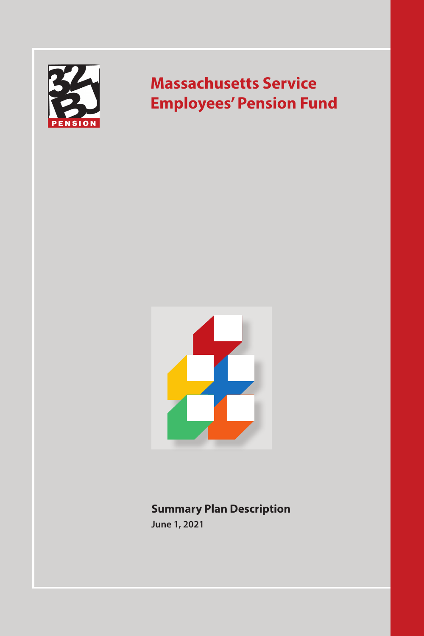

# **Massachusetts Service Employees' Pension Fund**



## **Summary Plan Description June 1, 2021**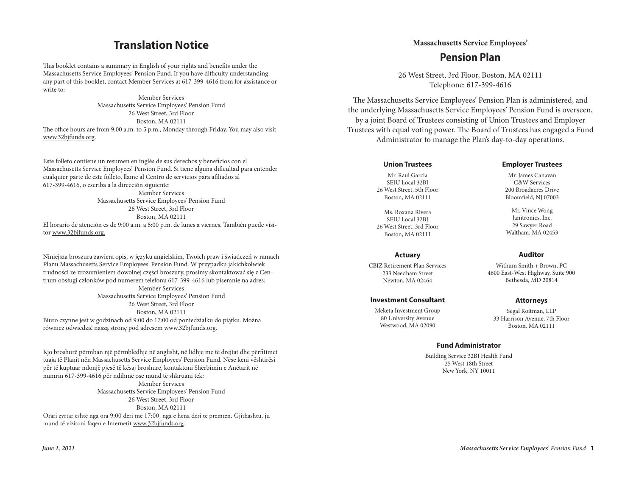## **Translation Notice**

This booklet contains a summary in English of your rights and benefits under the Massachusetts Service Employees' Pension Fund. If you have difficulty understanding any part of this booklet, contact Member Services at 617-399-4616 from for assistance or write to:

Member Services Massachusetts Service Employees' Pension Fund 26 West Street, 3rd Floor Boston, MA 02111 The office hours are from 9:00 a.m. to 5 p.m., Monday through Friday. You may also visit www.32bjfunds.org.

Este folleto contiene un resumen en inglés de sus derechos y beneficios con el Massachusetts Service Employees' Pension Fund. Si tiene alguna dificultad para entender cualquier parte de este folleto, llame al Centro de servicios para afiliados al 617-399-4616, o escriba a la dirección siguiente: Member Services Massachusetts Service Employees' Pension Fund 26 West Street, 3rd Floor Boston, MA 02111

El horario de atención es de 9:00 a.m. a 5:00 p.m. de lunes a viernes. También puede visitor www.32bjfunds.org.

Niniejsza broszura zawiera opis, w języku angielskim, Twoich praw i świadczeń w ramach Planu Massachusetts Service Employees' Pension Fund. W przypadku jakichkolwiek trudności ze zrozumieniem dowolnej części broszury, prosimy skontaktować się z Centrum obsługi członków pod numerem telefonu 617-399-4616 lub pisemnie na adres: Member Services Massachusetts Service Employees' Pension Fund 26 West Street, 3rd Floor Boston, MA 02111 Biuro czynne jest w godzinach od 9:00 do 17:00 od poniedziałku do piątku. Można również odwiedzić naszą stronę pod adresem www.32bjfunds.org.

Kjo broshurë përmban një përmbledhje në anglisht, në lidhje me të drejtat dhe përfitimet tuaja të Planit nën Massachusetts Service Employees' Pension Fund. Nëse keni vështirësi për të kuptuar ndonjë pjesë të kësaj broshure, kontaktoni Shërbimin e Anëtarit në numrin 617-399-4616 për ndihmë ose mund të shkruani tek:

Member Services Massachusetts Service Employees' Pension Fund 26 West Street, 3rd Floor Boston, MA 02111 Orari zyrtar është nga ora 9:00 deri më 17:00, nga e hëna deri të premten. Gjithashtu, ju mund të vizitoni faqen e Internetit www.32bjfunds.org.

## $Massachusetts Service Employes'$ **Pension Plan**

26 West Street, 3rd Floor, Boston, MA 02111 Telephone: 617-399-4616

The Massachusetts Service Employees' Pension Plan is administered, and the underlying Massachusetts Service Employees' Pension Fund is overseen, by a joint Board of Trustees consisting of Union Trustees and Employer Frustees with equal voting power. The Board of Trustees has engaged a Fund Trustees with equal voting power. The Board of Trustees has engaged a Fund Administrator to manage the Plan's day-to-day operations.

#### **Union Trustees**

Mr. Raul Garcia SEIU Local 32BJ 26 West Street, 5th Floor Boston, MA 02111

Ms. Roxana Rivera SEIU Local 32BJ 26 West Street, 3rd Floor Boston, MA 02111

#### **Actuary**

CBIZ Retirement Plan Services 233 Needham Street Newton, MA 02464

#### **Investment Consultant**

Meketa Investment Group 80 University Avenue Westwood, MA 02090

#### **Employer Trustees**

Mr. James Canavan C&W Services 200 Broadacres Drive Bloomfield, NJ 07003

Mr. Vince Wong Janitronics, Inc. 29 Sawyer Road Waltham, MA 02453

#### **Auditor**

Withum Smith + Brown, PC 4600 East-West Highway, Suite 900 Bethesda, MD 20814

#### **Attorneys**

Segal Roitman, LLP 33 Harrison Avenue, 7th Floor Boston, MA 02111

#### **Fund Administrator**

Building Service 32BJ Health Fund 25 West 18th Street New York, NY 10011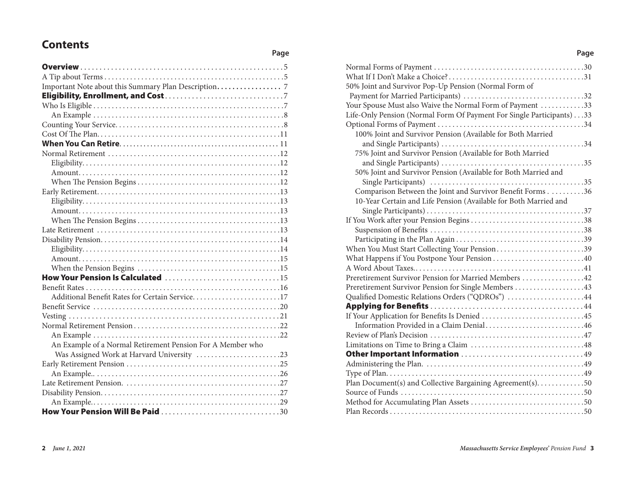# **Contents**

| How Your Pension Is Calculated 15                          |  |
|------------------------------------------------------------|--|
|                                                            |  |
| Additional Benefit Rates for Certain Service17             |  |
|                                                            |  |
|                                                            |  |
|                                                            |  |
|                                                            |  |
| An Example of a Normal Retirement Pension For A Member who |  |
| Was Assigned Work at Harvard University 23                 |  |
|                                                            |  |
|                                                            |  |
|                                                            |  |
|                                                            |  |
|                                                            |  |
|                                                            |  |

**Page**

| 50% Joint and Survivor Pop-Up Pension (Normal Form of                |
|----------------------------------------------------------------------|
|                                                                      |
| Your Spouse Must also Waive the Normal Form of Payment 33            |
| Life-Only Pension (Normal Form Of Payment For Single Participants)33 |
|                                                                      |
| 100% Joint and Survivor Pension (Available for Both Married          |
|                                                                      |
| 75% Joint and Survivor Pension (Available for Both Married           |
|                                                                      |
| 50% Joint and Survivor Pension (Available for Both Married and       |
|                                                                      |
| Comparison Between the Joint and Survivor Benefit Forms 36           |
| 10-Year Certain and Life Pension (Available for Both Married and     |
|                                                                      |
| If You Work after your Pension Begins38                              |
|                                                                      |
|                                                                      |
| When You Must Start Collecting Your Pension39                        |
|                                                                      |
|                                                                      |
| Preretirement Survivor Pension for Married Members 42                |
| Preretirement Survivor Pension for Single Members 43                 |
| Qualified Domestic Relations Orders ("QDROs") 44                     |
|                                                                      |
| If Your Application for Benefits Is Denied 45                        |
| Information Provided in a Claim Denial46                             |
|                                                                      |
|                                                                      |
|                                                                      |
|                                                                      |
|                                                                      |
|                                                                      |
|                                                                      |
|                                                                      |
|                                                                      |

**Page**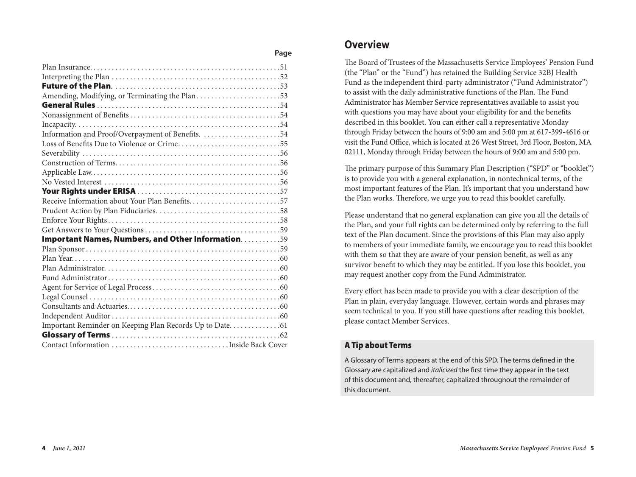| Amending, Modifying, or Terminating the Plan53      |
|-----------------------------------------------------|
|                                                     |
|                                                     |
|                                                     |
| Information and Proof/Overpayment of Benefits. 54   |
| Loss of Benefits Due to Violence or Crime55         |
|                                                     |
|                                                     |
|                                                     |
|                                                     |
|                                                     |
| Receive Information about Your Plan Benefits57      |
|                                                     |
|                                                     |
|                                                     |
| Important Names, Numbers, and Other Information. 59 |
|                                                     |
|                                                     |
|                                                     |
|                                                     |
|                                                     |
|                                                     |
|                                                     |
|                                                     |
|                                                     |
|                                                     |
|                                                     |

## **Overview**

**Page**

The Board of Trustees of the Massachusetts Service Employees' Pension Fund (the "Plan" or the "Fund") has retained the Building Service 32BJ Health Fund as the independent third-party administrator ("Fund Administrator") to assist with the daily administrative functions of the Plan. The Fund Administrator has Member Service representatives available to assist you with questions you may have about your eligibility for and the benefits described in this booklet. You can either call a representative Monday through Friday between the hours of 9:00 am and 5:00 pm at 617-399-4616 or visit the Fund Office, which is located at 26 West Street, 3rd Floor, Boston, MA 02111, Monday through Friday between the hours of 9:00 am and 5:00 pm.

The primary purpose of this Summary Plan Description ("SPD" or "booklet") is to provide you with a general explanation, in nontechnical terms, of the most important features of the Plan. It's important that you understand how the Plan works. Therefore, we urge you to read this booklet carefully.

Please understand that no general explanation can give you all the details of the Plan, and your full rights can be determined only by referring to the full text of the Plan document. Since the provisions of this Plan may also apply to members of your immediate family, we encourage you to read this booklet with them so that they are aware of your pension benefit, as well as any survivor benefit to which they may be entitled. If you lose this booklet, you may request another copy from the Fund Administrator.

Every effort has been made to provide you with a clear description of the Plan in plain, everyday language. However, certain words and phrases may seem technical to you. If you still have questions after reading this booklet, please contact Member Services.

## A Tip about Terms

A Glossary of Terms appears at the end of this SPD. The terms defined in the Glossary are capitalized and *italicized* the first time they appear in the text of this document and, thereafter, capitalized throughout the remainder of this document.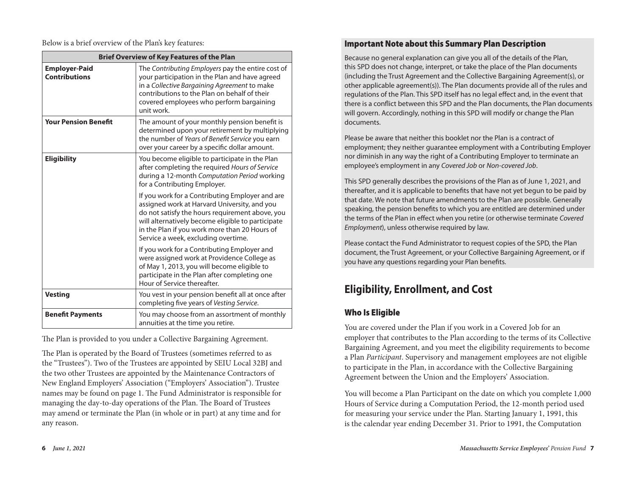Below is a brief overview of the Plan's key features:

| <b>Brief Overview of Key Features of the Plan</b> |                                                                                                                                                                                                                                                                                                 |
|---------------------------------------------------|-------------------------------------------------------------------------------------------------------------------------------------------------------------------------------------------------------------------------------------------------------------------------------------------------|
| <b>Employer-Paid</b><br><b>Contributions</b>      | The Contributing Employers pay the entire cost of<br>your participation in the Plan and have agreed<br>in a Collective Bargaining Agreement to make<br>contributions to the Plan on behalf of their<br>covered employees who perform bargaining<br>unit work.                                   |
| <b>Your Pension Benefit</b>                       | The amount of your monthly pension benefit is<br>determined upon your retirement by multiplying<br>the number of Years of Benefit Service you earn<br>over your career by a specific dollar amount.                                                                                             |
| <b>Eligibility</b>                                | You become eligible to participate in the Plan<br>after completing the required Hours of Service<br>during a 12-month Computation Period working<br>for a Contributing Employer.                                                                                                                |
|                                                   | If you work for a Contributing Employer and are<br>assigned work at Harvard University, and you<br>do not satisfy the hours requirement above, you<br>will alternatively become eligible to participate<br>in the Plan if you work more than 20 Hours of<br>Service a week, excluding overtime. |
|                                                   | If you work for a Contributing Employer and<br>were assigned work at Providence College as<br>of May 1, 2013, you will become eligible to<br>participate in the Plan after completing one<br>Hour of Service thereafter.                                                                        |
| <b>Vesting</b>                                    | You vest in your pension benefit all at once after<br>completing five years of Vesting Service.                                                                                                                                                                                                 |
| <b>Benefit Payments</b>                           | You may choose from an assortment of monthly<br>annuities at the time you retire.                                                                                                                                                                                                               |

The Plan is provided to you under a Collective Bargaining Agreement.

The Plan is operated by the Board of Trustees (sometimes referred to as the "Trustees"). Two of the Trustees are appointed by SEIU Local 32BJ and the two other Trustees are appointed by the Maintenance Contractors of New England Employers' Association ("Employers' Association"). Trustee names may be found on page 1. The Fund Administrator is responsible for managing the day-to-day operations of the Plan. The Board of Trustees may amend or terminate the Plan (in whole or in part) at any time and for any reason.

## Important Note about this Summary Plan Description

Because no general explanation can give you all of the details of the Plan, this SPD does not change, interpret, or take the place of the Plan documents (including the Trust Agreement and the Collective Bargaining Agreement(s), or other applicable agreement(s)). The Plan documents provide all of the rules and regulations of the Plan. This SPD itself has no legal effect and, in the event that there is a conflict between this SPD and the Plan documents, the Plan documents will govern. Accordingly, nothing in this SPD will modify or change the Plan documents.

Please be aware that neither this booklet nor the Plan is a contract of employment; they neither guarantee employment with a Contributing Employer nor diminish in any way the right of a Contributing Employer to terminate an employee's employment in any *Covered Job* or *Non-covered Job*.

This SPD generally describes the provisions of the Plan as of June 1, 2021, and thereafter, and it is applicable to benefits that have not yet begun to be paid by that date. We note that future amendments to the Plan are possible. Generally speaking, the pension benefits to which you are entitled are determined under the terms of the Plan in effect when you retire (or otherwise terminate *Covered Employment*), unless otherwise required by law.

Please contact the Fund Administrator to request copies of the SPD, the Plan document, the Trust Agreement, or your Collective Bargaining Agreement, or if you have any questions regarding your Plan benefits.

# **Eligibility, Enrollment, and Cost**

## Who Is Eligible

You are covered under the Plan if you work in a Covered Job for an employer that contributes to the Plan according to the terms of its Collective Bargaining Agreement, and you meet the eligibility requirements to become a Plan *Participant*. Supervisory and management employees are not eligible to participate in the Plan, in accordance with the Collective Bargaining Agreement between the Union and the Employers' Association.

You will become a Plan Participant on the date on which you complete 1,000 Hours of Service during a Computation Period, the 12-month period used for measuring your service under the Plan. Starting January 1, 1991, this is the calendar year ending December 31. Prior to 1991, the Computation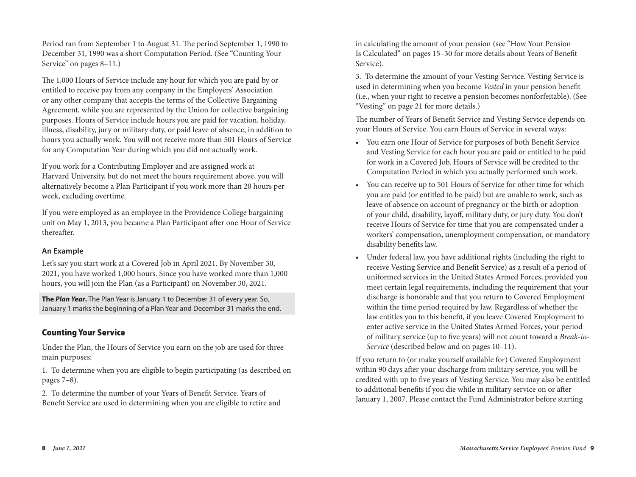Period ran from September 1 to August 31. The period September 1, 1990 to December 31, 1990 was a short Computation Period. (See "Counting Your Service" on pages 8–11.)

The 1,000 Hours of Service include any hour for which you are paid by or entitled to receive pay from any company in the Employers' Association or any other company that accepts the terms of the Collective Bargaining Agreement, while you are represented by the Union for collective bargaining purposes. Hours of Service include hours you are paid for vacation, holiday, illness, disability, jury or military duty, or paid leave of absence, in addition to hours you actually work. You will not receive more than 501 Hours of Service for any Computation Year during which you did not actually work.

If you work for a Contributing Employer and are assigned work at Harvard University, but do not meet the hours requirement above, you will alternatively become a Plan Participant if you work more than 20 hours per week, excluding overtime.

If you were employed as an employee in the Providence College bargaining unit on May 1, 2013, you became a Plan Participant after one Hour of Service thereafter.

## **An Example**

Let's say you start work at a Covered Job in April 2021. By November 30, 2021, you have worked 1,000 hours. Since you have worked more than 1,000 hours, you will join the Plan (as a Participant) on November 30, 2021.

**The** *Plan Year***.** The Plan Year is January 1 to December 31 of every year. So, January 1 marks the beginning of a Plan Year and December 31 marks the end.

## Counting Your Service

Under the Plan, the Hours of Service you earn on the job are used for three main purposes:

1. To determine when you are eligible to begin participating (as described on pages 7–8).

2. To determine the number of your Years of Benefit Service. Years of Benefit Service are used in determining when you are eligible to retire and

in calculating the amount of your pension (see "How Your Pension Is Calculated" on pages 15–30 for more details about Years of Benefit Service).

3. To determine the amount of your Vesting Service. Vesting Service is used in determining when you become *Vested* in your pension benefit (i.e., when your right to receive a pension becomes nonforfeitable). (See "Vesting" on page 21 for more details.)

The number of Years of Benefit Service and Vesting Service depends on your Hours of Service. You earn Hours of Service in several ways:

- You earn one Hour of Service for purposes of both Benefit Service and Vesting Service for each hour you are paid or entitled to be paid for work in a Covered Job. Hours of Service will be credited to the Computation Period in which you actually performed such work.
- You can receive up to 501 Hours of Service for other time for which you are paid (or entitled to be paid) but are unable to work, such as leave of absence on account of pregnancy or the birth or adoption of your child, disability, layoff, military duty, or jury duty. You don't receive Hours of Service for time that you are compensated under a workers' compensation, unemployment compensation, or mandatory disability benefits law.
- Under federal law, you have additional rights (including the right to receive Vesting Service and Benefit Service) as a result of a period of uniformed services in the United States Armed Forces, provided you meet certain legal requirements, including the requirement that your discharge is honorable and that you return to Covered Employment within the time period required by law. Regardless of whether the law entitles you to this benefit, if you leave Covered Employment to enter active service in the United States Armed Forces, your period of military service (up to five years) will not count toward a *Break-in-Service* (described below and on pages 10–11).

If you return to (or make yourself available for) Covered Employment within 90 days after your discharge from military service, you will be credited with up to five years of Vesting Service. You may also be entitled to additional benefits if you die while in military service on or after January 1, 2007. Please contact the Fund Administrator before starting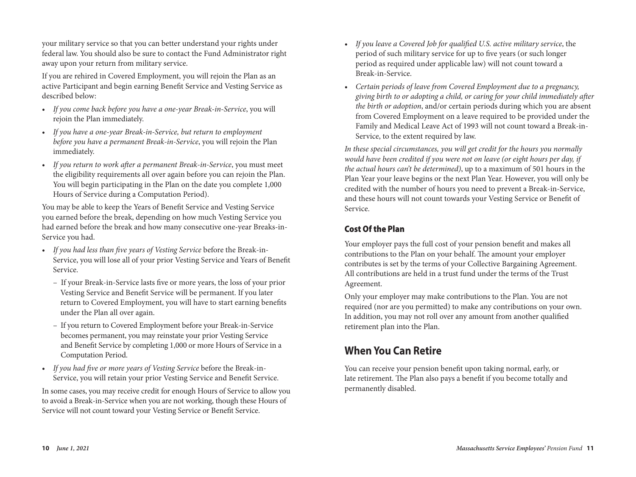your military service so that you can better understand your rights under federal law. You should also be sure to contact the Fund Administrator right away upon your return from military service.

If you are rehired in Covered Employment, you will rejoin the Plan as an active Participant and begin earning Benefit Service and Vesting Service as described below:

- *If you come back before you have a one-year Break-in-Service*, you will rejoin the Plan immediately.
- *If you have a one-year Break-in-Service, but return to employment before you have a permanent Break-in-Service*, you will rejoin the Plan immediately.
- *If you return to work after a permanent Break-in-Service*, you must meet the eligibility requirements all over again before you can rejoin the Plan. You will begin participating in the Plan on the date you complete 1,000 Hours of Service during a Computation Period).

You may be able to keep the Years of Benefit Service and Vesting Service you earned before the break, depending on how much Vesting Service you had earned before the break and how many consecutive one-year Breaks-in-Service you had.

- *If you had less than five years of Vesting Service* before the Break-in-Service, you will lose all of your prior Vesting Service and Years of Benefit Service.
	- If your Break-in-Service lasts five or more years, the loss of your prior Vesting Service and Benefit Service will be permanent. If you later return to Covered Employment, you will have to start earning benefits under the Plan all over again.
	- If you return to Covered Employment before your Break-in-Service becomes permanent, you may reinstate your prior Vesting Service and Benefit Service by completing 1,000 or more Hours of Service in a Computation Period.
- *If you had five or more years of Vesting Service* before the Break-in-Service, you will retain your prior Vesting Service and Benefit Service.

In some cases, you may receive credit for enough Hours of Service to allow you to avoid a Break-in-Service when you are not working, though these Hours of Service will not count toward your Vesting Service or Benefit Service.

- *If you leave a Covered Job for qualified U.S. active military service*, the period of such military service for up to five years (or such longer period as required under applicable law) will not count toward a Break-in-Service.
- *Certain periods of leave from Covered Employment due to a pregnancy, giving birth to or adopting a child, or caring for your child immediately after the birth or adoption*, and/or certain periods during which you are absent from Covered Employment on a leave required to be provided under the Family and Medical Leave Act of 1993 will not count toward a Break-in-Service, to the extent required by law.

*In these special circumstances, you will get credit for the hours you normally would have been credited if you were not on leave (or eight hours per day, if the actual hours can't be determined)*, up to a maximum of 501 hours in the Plan Year your leave begins or the next Plan Year. However, you will only be credited with the number of hours you need to prevent a Break-in-Service, and these hours will not count towards your Vesting Service or Benefit of Service.

## Cost Of the Plan

Your employer pays the full cost of your pension benefit and makes all contributions to the Plan on your behalf. The amount your employer contributes is set by the terms of your Collective Bargaining Agreement. All contributions are held in a trust fund under the terms of the Trust Agreement.

Only your employer may make contributions to the Plan. You are not required (nor are you permitted) to make any contributions on your own. In addition, you may not roll over any amount from another qualified retirement plan into the Plan.

# **When You Can Retire**

You can receive your pension benefit upon taking normal, early, or late retirement. The Plan also pays a benefit if you become totally and permanently disabled.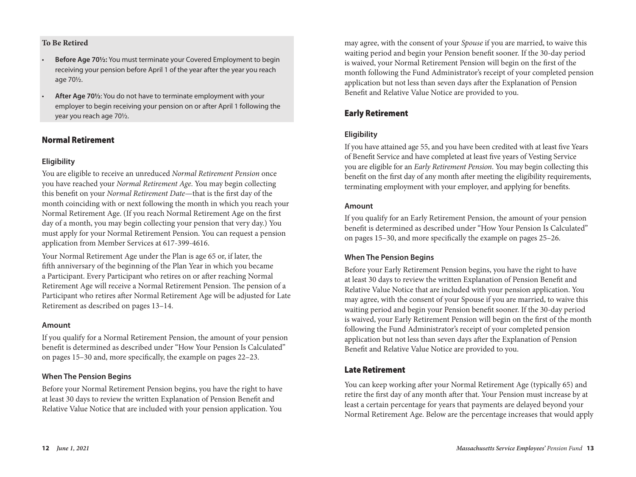#### **To Be Retired**

- **Before Age 70½:** You must terminate your Covered Employment to begin receiving your pension before April 1 of the year after the year you reach age 70½.
- **After Age 70½**: You do not have to terminate employment with your employer to begin receiving your pension on or after April 1 following the year you reach age 70½.

### Normal Retirement

#### **Eligibility**

You are eligible to receive an unreduced *Normal Retirement Pension* once you have reached your *Normal Retirement Age*. You may begin collecting this benefit on your *Normal Retirement Date*—that is the first day of the month coinciding with or next following the month in which you reach your Normal Retirement Age. (If you reach Normal Retirement Age on the first day of a month, you may begin collecting your pension that very day.) You must apply for your Normal Retirement Pension. You can request a pension application from Member Services at 617-399-4616.

Your Normal Retirement Age under the Plan is age 65 or, if later, the fifth anniversary of the beginning of the Plan Year in which you became a Participant. Every Participant who retires on or after reaching Normal Retirement Age will receive a Normal Retirement Pension. The pension of a Participant who retires after Normal Retirement Age will be adjusted for Late Retirement as described on pages 13–14.

#### **Amount**

If you qualify for a Normal Retirement Pension, the amount of your pension benefit is determined as described under "How Your Pension Is Calculated" on pages 15–30 and, more specifically, the example on pages 22–23.

#### **When The Pension Begins**

Before your Normal Retirement Pension begins, you have the right to have at least 30 days to review the written Explanation of Pension Benefit and Relative Value Notice that are included with your pension application. You

may agree, with the consent of your *Spouse* if you are married, to waive this waiting period and begin your Pension benefit sooner. If the 30-day period is waived, your Normal Retirement Pension will begin on the first of the month following the Fund Administrator's receipt of your completed pension application but not less than seven days after the Explanation of Pension Benefit and Relative Value Notice are provided to you.

## Early Retirement

#### **Eligibility**

If you have attained age 55, and you have been credited with at least five Years of Benefit Service and have completed at least five years of Vesting Service you are eligible for an *Early Retirement Pension*. You may begin collecting this benefit on the first day of any month after meeting the eligibility requirements, terminating employment with your employer, and applying for benefits.

#### **Amount**

If you qualify for an Early Retirement Pension, the amount of your pension benefit is determined as described under "How Your Pension Is Calculated" on pages 15–30, and more specifically the example on pages 25–26.

#### **When The Pension Begins**

Before your Early Retirement Pension begins, you have the right to have at least 30 days to review the written Explanation of Pension Benefit and Relative Value Notice that are included with your pension application. You may agree, with the consent of your Spouse if you are married, to waive this waiting period and begin your Pension benefit sooner. If the 30-day period is waived, your Early Retirement Pension will begin on the first of the month following the Fund Administrator's receipt of your completed pension application but not less than seven days after the Explanation of Pension Benefit and Relative Value Notice are provided to you.

## Late Retirement

You can keep working after your Normal Retirement Age (typically 65) and retire the first day of any month after that. Your Pension must increase by at least a certain percentage for years that payments are delayed beyond your Normal Retirement Age. Below are the percentage increases that would apply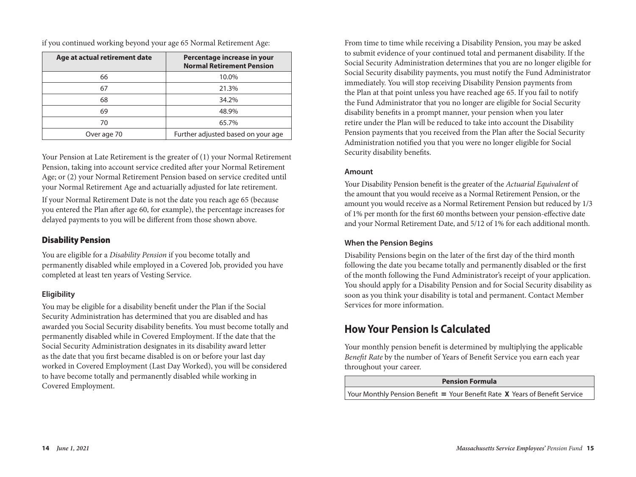if you continued working beyond your age 65 Normal Retirement Age:

| Age at actual retirement date | Percentage increase in your<br><b>Normal Retirement Pension</b> |
|-------------------------------|-----------------------------------------------------------------|
| 66                            | 10.0%                                                           |
| 67                            | 21.3%                                                           |
| 68                            | 34.2%                                                           |
| 69                            | 48.9%                                                           |
| 70                            | 65.7%                                                           |
| Over age 70                   | Further adjusted based on your age                              |

Your Pension at Late Retirement is the greater of (1) your Normal Retirement Pension, taking into account service credited after your Normal Retirement Age; or (2) your Normal Retirement Pension based on service credited until your Normal Retirement Age and actuarially adjusted for late retirement.

If your Normal Retirement Date is not the date you reach age 65 (because you entered the Plan after age 60, for example), the percentage increases for delayed payments to you will be different from those shown above.

## Disability Pension

You are eligible for a *Disability Pension* if you become totally and permanently disabled while employed in a Covered Job, provided you have completed at least ten years of Vesting Service.

## **Eligibility**

You may be eligible for a disability benefit under the Plan if the Social Security Administration has determined that you are disabled and has awarded you Social Security disability benefits. You must become totally and permanently disabled while in Covered Employment. If the date that the Social Security Administration designates in its disability award letter as the date that you first became disabled is on or before your last day worked in Covered Employment (Last Day Worked), you will be considered to have become totally and permanently disabled while working in Covered Employment.

From time to time while receiving a Disability Pension, you may be asked to submit evidence of your continued total and permanent disability. If the Social Security Administration determines that you are no longer eligible for Social Security disability payments, you must notify the Fund Administrator immediately. You will stop receiving Disability Pension payments from the Plan at that point unless you have reached age 65. If you fail to notify the Fund Administrator that you no longer are eligible for Social Security disability benefits in a prompt manner, your pension when you later retire under the Plan will be reduced to take into account the Disability Pension payments that you received from the Plan after the Social Security Administration notified you that you were no longer eligible for Social Security disability benefits.

### **Amount**

Your Disability Pension benefit is the greater of the *Actuarial Equivalent* of the amount that you would receive as a Normal Retirement Pension, or the amount you would receive as a Normal Retirement Pension but reduced by 1/3 of 1% per month for the first 60 months between your pension-effective date and your Normal Retirement Date, and 5/12 of 1% for each additional month.

## **When the Pension Begins**

Disability Pensions begin on the later of the first day of the third month following the date you became totally and permanently disabled or the first of the month following the Fund Administrator's receipt of your application. You should apply for a Disability Pension and for Social Security disability as soon as you think your disability is total and permanent. Contact Member Services for more information.

# **How Your Pension Is Calculated**

Your monthly pension benefit is determined by multiplying the applicable *Benefit Rate* by the number of Years of Benefit Service you earn each year throughout your career.

#### **Pension Formula**

Your Monthly Pension Benefit = Your Benefit Rate **X** Years of Benefit Service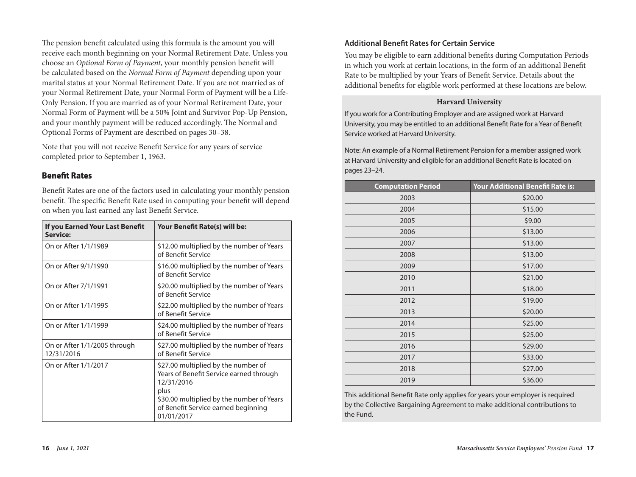The pension benefit calculated using this formula is the amount you will receive each month beginning on your Normal Retirement Date. Unless you choose an *Optional Form of Payment*, your monthly pension benefit will be calculated based on the *Normal Form of Payment* depending upon your marital status at your Normal Retirement Date. If you are not married as of your Normal Retirement Date, your Normal Form of Payment will be a Life-Only Pension. If you are married as of your Normal Retirement Date, your Normal Form of Payment will be a 50% Joint and Survivor Pop-Up Pension, and your monthly payment will be reduced accordingly. The Normal and Optional Forms of Payment are described on pages 30–38.

Note that you will not receive Benefit Service for any years of service completed prior to September 1, 1963.

## Benefit Rates

Benefit Rates are one of the factors used in calculating your monthly pension benefit. The specific Benefit Rate used in computing your benefit will depend on when you last earned any last Benefit Service.

| If you Earned Your Last Benefit<br>Service: | Your Benefit Rate(s) will be:                                                                                                                                                                          |
|---------------------------------------------|--------------------------------------------------------------------------------------------------------------------------------------------------------------------------------------------------------|
| On or After 1/1/1989                        | \$12.00 multiplied by the number of Years<br>of Benefit Service                                                                                                                                        |
| On or After 9/1/1990                        | \$16.00 multiplied by the number of Years<br>of Benefit Service                                                                                                                                        |
| On or After 7/1/1991                        | \$20.00 multiplied by the number of Years<br>of Benefit Service                                                                                                                                        |
| On or After 1/1/1995                        | \$22.00 multiplied by the number of Years<br>of Benefit Service                                                                                                                                        |
| On or After 1/1/1999                        | \$24.00 multiplied by the number of Years<br>of Benefit Service                                                                                                                                        |
| On or After 1/1/2005 through<br>12/31/2016  | \$27.00 multiplied by the number of Years<br>of Benefit Service                                                                                                                                        |
| On or After 1/1/2017                        | \$27.00 multiplied by the number of<br>Years of Benefit Service earned through<br>12/31/2016<br>plus<br>\$30.00 multiplied by the number of Years<br>of Benefit Service earned beginning<br>01/01/2017 |

### **Additional Benefit Rates for Certain Service**

You may be eligible to earn additional benefits during Computation Periods in which you work at certain locations, in the form of an additional Benefit Rate to be multiplied by your Years of Benefit Service. Details about the additional benefits for eligible work performed at these locations are below.

#### **Harvard University**

If you work for a Contributing Employer and are assigned work at Harvard University, you may be entitled to an additional Benefit Rate for a Year of Benefit Service worked at Harvard University.

Note: An example of a Normal Retirement Pension for a member assigned work at Harvard University and eligible for an additional Benefit Rate is located on pages 23–24.

| <b>Computation Period</b> | Your Additional Benefit Rate is: |
|---------------------------|----------------------------------|
| 2003                      | \$20.00                          |
| 2004                      | \$15.00                          |
| 2005                      | \$9.00                           |
| 2006                      | \$13.00                          |
| 2007                      | \$13.00                          |
| 2008                      | \$13.00                          |
| 2009                      | \$17.00                          |
| 2010                      | \$21.00                          |
| 2011                      | \$18.00                          |
| 2012                      | \$19.00                          |
| 2013                      | \$20.00                          |
| 2014                      | \$25.00                          |
| 2015                      | \$25.00                          |
| 2016                      | \$29.00                          |
| 2017                      | \$33.00                          |
| 2018                      | \$27.00                          |
| 2019                      | \$36.00                          |

This additional Benefit Rate only applies for years your employer is required by the Collective Bargaining Agreement to make additional contributions to the Fund.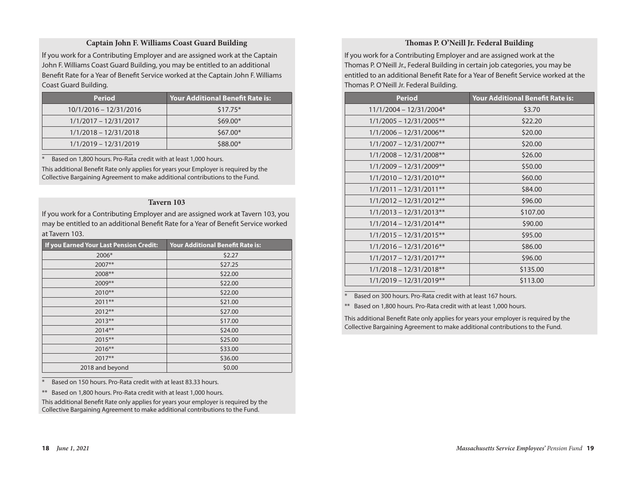#### **Captain John F. Williams Coast Guard Building**

If you work for a Contributing Employer and are assigned work at the Captain John F. Williams Coast Guard Building, you may be entitled to an additional Benefit Rate for a Year of Benefit Service worked at the Captain John F. Williams Coast Guard Building.

| <b>Period</b>           | <b>Your Additional Benefit Rate is:</b> |
|-------------------------|-----------------------------------------|
| 10/1/2016 - 12/31/2016  | $$17.75*$                               |
| $1/1/2017 - 12/31/2017$ | $$69.00*$                               |
| $1/1/2018 - 12/31/2018$ | $$67.00*$                               |
| $1/1/2019 - 12/31/2019$ | \$88.00*                                |

Based on 1,800 hours. Pro-Rata credit with at least 1,000 hours.

This additional Benefit Rate only applies for years your Employer is required by the Collective Bargaining Agreement to make additional contributions to the Fund.

#### **Tavern 103**

If you work for a Contributing Employer and are assigned work at Tavern 103, you may be entitled to an additional Benefit Rate for a Year of Benefit Service worked at Tavern 103.

| If you Earned Your Last Pension Credit: | <b>Your Additional Benefit Rate is:</b> |
|-----------------------------------------|-----------------------------------------|
| 2006*                                   | \$2.27                                  |
| 2007**                                  | \$27.25                                 |
| 2008**                                  | \$22.00                                 |
| 2009**                                  | \$22.00                                 |
| 2010**                                  | \$22.00                                 |
| 2011**                                  | \$21.00                                 |
| $2012**$                                | \$27.00                                 |
| $2013**$                                | \$17.00                                 |
| $2014**$                                | \$24.00                                 |
| 2015**                                  | \$25.00                                 |
| $2016**$                                | \$33.00                                 |
| $2017**$                                | \$36.00                                 |
| 2018 and beyond                         | \$0.00                                  |

Based on 150 hours. Pro-Rata credit with at least 83.33 hours.

\*\* Based on 1,800 hours. Pro-Rata credit with at least 1,000 hours.

This additional Benefit Rate only applies for years your employer is required by the Collective Bargaining Agreement to make additional contributions to the Fund.

#### **Thomas P. O'Neill Jr. Federal Building**

If you work for a Contributing Employer and are assigned work at the Thomas P. O'Neill Jr., Federal Building in certain job categories, you may be entitled to an additional Benefit Rate for a Year of Benefit Service worked at the Thomas P. O'Neill Jr. Federal Building.

| <b>Period</b>             | <b>Your Additional Benefit Rate is:</b> |
|---------------------------|-----------------------------------------|
| 11/1/2004 - 12/31/2004*   | \$3.70                                  |
| $1/1/2005 - 12/31/2005**$ | \$22.20                                 |
| $1/1/2006 - 12/31/2006**$ | \$20.00                                 |
| $1/1/2007 - 12/31/2007**$ | \$20.00                                 |
| $1/1/2008 - 12/31/2008**$ | \$26.00                                 |
| $1/1/2009 - 12/31/2009**$ | \$50.00                                 |
| $1/1/2010 - 12/31/2010**$ | \$60.00                                 |
| $1/1/2011 - 12/31/2011**$ | \$84.00                                 |
| $1/1/2012 - 12/31/2012**$ | \$96.00                                 |
| $1/1/2013 - 12/31/2013**$ | \$107.00                                |
| $1/1/2014 - 12/31/2014**$ | \$90.00                                 |
| $1/1/2015 - 12/31/2015**$ | \$95.00                                 |
| $1/1/2016 - 12/31/2016**$ | \$86.00                                 |
| $1/1/2017 - 12/31/2017**$ | \$96.00                                 |
| $1/1/2018 - 12/31/2018**$ | \$135.00                                |
| $1/1/2019 - 12/31/2019**$ | \$113.00                                |

Based on 300 hours. Pro-Rata credit with at least 167 hours.

\*\* Based on 1,800 hours. Pro-Rata credit with at least 1,000 hours.

This additional Benefit Rate only applies for years your employer is required by the Collective Bargaining Agreement to make additional contributions to the Fund.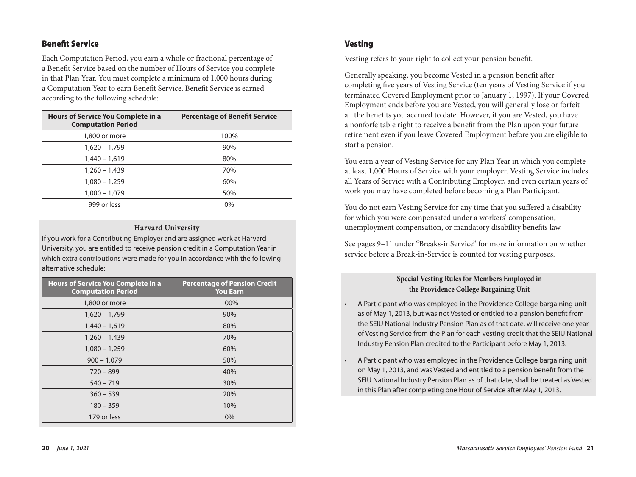## Benefit Service

Each Computation Period, you earn a whole or fractional percentage of a Benefit Service based on the number of Hours of Service you complete in that Plan Year. You must complete a minimum of 1,000 hours during a Computation Year to earn Benefit Service. Benefit Service is earned according to the following schedule:

| Hours of Service You Complete in a<br><b>Computation Period</b> | <b>Percentage of Benefit Service</b> |
|-----------------------------------------------------------------|--------------------------------------|
| 1,800 or more                                                   | 100%                                 |
| $1,620 - 1,799$                                                 | 90%                                  |
| $1,440 - 1,619$                                                 | 80%                                  |
| $1,260 - 1,439$                                                 | 70%                                  |
| $1,080 - 1,259$                                                 | 60%                                  |
| $1,000 - 1,079$                                                 | 50%                                  |
| 999 or less                                                     | 0%                                   |

#### **Harvard University**

If you work for a Contributing Employer and are assigned work at Harvard University, you are entitled to receive pension credit in a Computation Year in which extra contributions were made for you in accordance with the following alternative schedule:

| <b>Hours of Service You Complete in a</b><br><b>Computation Period</b> | <b>Percentage of Pension Credit</b><br><b>You Earn</b> |
|------------------------------------------------------------------------|--------------------------------------------------------|
| 1,800 or more                                                          | 100%                                                   |
| $1,620 - 1,799$                                                        | 90%                                                    |
| $1,440 - 1,619$                                                        | 80%                                                    |
| $1,260 - 1,439$                                                        | 70%                                                    |
| $1,080 - 1,259$                                                        | 60%                                                    |
| $900 - 1,079$                                                          | 50%                                                    |
| $720 - 899$                                                            | 40%                                                    |
| $540 - 719$                                                            | 30%                                                    |
| $360 - 539$                                                            | 20%                                                    |
| $180 - 359$                                                            | 10%                                                    |
| 179 or less                                                            | 0%                                                     |

## Vesting

Vesting refers to your right to collect your pension benefit.

Generally speaking, you become Vested in a pension benefit after completing five years of Vesting Service (ten years of Vesting Service if you terminated Covered Employment prior to January 1, 1997). If your Covered Employment ends before you are Vested, you will generally lose or forfeit all the benefits you accrued to date. However, if you are Vested, you have a nonforfeitable right to receive a benefit from the Plan upon your future retirement even if you leave Covered Employment before you are eligible to start a pension.

You earn a year of Vesting Service for any Plan Year in which you complete at least 1,000 Hours of Service with your employer. Vesting Service includes all Years of Service with a Contributing Employer, and even certain years of work you may have completed before becoming a Plan Participant.

You do not earn Vesting Service for any time that you suffered a disability for which you were compensated under a workers' compensation, unemployment compensation, or mandatory disability benefits law.

See pages 9–11 under "Breaks-inService" for more information on whether service before a Break-in-Service is counted for vesting purposes.

## **Special Vesting Rules for Members Employed in the Providence College Bargaining Unit**

- A Participant who was employed in the Providence College bargaining unit as of May 1, 2013, but was not Vested or entitled to a pension benefit from the SEIU National Industry Pension Plan as of that date, will receive one year of Vesting Service from the Plan for each vesting credit that the SEIU National Industry Pension Plan credited to the Participant before May 1, 2013.
- A Participant who was employed in the Providence College bargaining unit on May 1, 2013, and was Vested and entitled to a pension benefit from the SEIU National Industry Pension Plan as of that date, shall be treated as Vested in this Plan after completing one Hour of Service after May 1, 2013.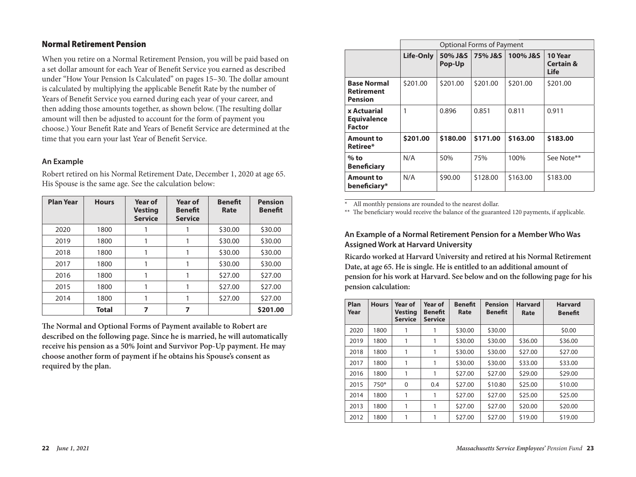## Normal Retirement Pension

When you retire on a Normal Retirement Pension, you will be paid based on a set dollar amount for each Year of Benefit Service you earned as described under "How Your Pension Is Calculated" on pages 15–30. The dollar amount is calculated by multiplying the applicable Benefit Rate by the number of Years of Benefit Service you earned during each year of your career, and then adding those amounts together, as shown below. (The resulting dollar amount will then be adjusted to account for the form of payment you choose.) Your Benefit Rate and Years of Benefit Service are determined at the time that you earn your last Year of Benefit Service.

#### **An Example**

Robert retired on his Normal Retirement Date, December 1, 2020 at age 65. His Spouse is the same age. See the calculation below:

| <b>Plan Year</b> | <b>Hours</b> | Year of<br><b>Vesting</b><br><b>Service</b> | <b>Year of</b><br><b>Benefit</b><br><b>Service</b> | <b>Benefit</b><br>Rate | <b>Pension</b><br><b>Benefit</b> |
|------------------|--------------|---------------------------------------------|----------------------------------------------------|------------------------|----------------------------------|
| 2020             | 1800         |                                             |                                                    | \$30.00                | \$30.00                          |
| 2019             | 1800         |                                             |                                                    | \$30.00                | \$30.00                          |
| 2018             | 1800         |                                             |                                                    | \$30.00                | \$30.00                          |
| 2017             | 1800         |                                             |                                                    | \$30.00                | \$30.00                          |
| 2016             | 1800         |                                             |                                                    | \$27.00                | \$27.00                          |
| 2015             | 1800         |                                             |                                                    | \$27.00                | \$27.00                          |
| 2014             | 1800         |                                             |                                                    | \$27.00                | \$27.00                          |
|                  | <b>Total</b> | 7                                           | 7                                                  |                        | \$201.00                         |

**The Normal and Optional Forms of Payment available to Robert are described on the following page. Since he is married, he will automatically receive his pension as a 50% Joint and Survivor Pop-Up payment. He may choose another form of payment if he obtains his Spouse's consent as required by the plan.**

|                                                           |           | Optional Forms of Payment |          |          |                                         |  |  |  |  |
|-----------------------------------------------------------|-----------|---------------------------|----------|----------|-----------------------------------------|--|--|--|--|
|                                                           | Life-Only | 50% J&S<br>Pop-Up         | 75% J&S  | 100% J&S | 10 Year<br><b>Certain &amp;</b><br>Life |  |  |  |  |
| <b>Base Normal</b><br><b>Retirement</b><br><b>Pension</b> | \$201.00  | \$201.00                  | \$201.00 | \$201.00 | \$201.00                                |  |  |  |  |
| x Actuarial<br><b>Equivalence</b><br><b>Factor</b>        | 1         | 0.896                     | 0.851    | 0.811    | 0.911                                   |  |  |  |  |
| <b>Amount to</b><br>Retiree*                              | \$201.00  | \$180.00                  | \$171.00 | \$163.00 | \$183.00                                |  |  |  |  |
| $%$ to<br><b>Beneficiary</b>                              | N/A       | 50%                       | 75%      | 100%     | See Note**                              |  |  |  |  |
| <b>Amount to</b><br>beneficiary*                          | N/A       | \$90.00                   | \$128.00 | \$163.00 | \$183.00                                |  |  |  |  |

All monthly pensions are rounded to the nearest dollar.

\*\* The beneficiary would receive the balance of the guaranteed 120 payments, if applicable.

## **An Example of a Normal Retirement Pension for a Member Who Was Assigned Work at Harvard University**

**Ricardo worked at Harvard University and retired at his Normal Retirement Date, at age 65. He is single. He is entitled to an additional amount of pension for his work at Harvard. See below and on the following page for his pension calculation:**

| Plan<br>Year | <b>Hours</b> | Year of<br><b>Vesting</b><br><b>Service</b> | Year of<br>Benefit<br><b>Service</b> | <b>Benefit</b><br>Rate | <b>Pension</b><br><b>Benefit</b> | <b>Harvard</b><br>Rate | <b>Harvard</b><br><b>Benefit</b> |
|--------------|--------------|---------------------------------------------|--------------------------------------|------------------------|----------------------------------|------------------------|----------------------------------|
| 2020         | 1800         |                                             |                                      | \$30.00                | \$30.00                          |                        | \$0.00                           |
| 2019         | 1800         | 1                                           | 1                                    | \$30.00                | \$30.00                          | \$36.00                | \$36.00                          |
| 2018         | 1800         | 1                                           | 1                                    | \$30.00                | \$30.00                          | \$27.00                | \$27.00                          |
| 2017         | 1800         | 1                                           | 1                                    | \$30.00                | \$30.00                          | \$33.00                | \$33.00                          |
| 2016         | 1800         | 1                                           | 1                                    | \$27.00                | \$27.00                          | \$29.00                | \$29.00                          |
| 2015         | $750*$       | $\Omega$                                    | 0.4                                  | \$27.00                | \$10.80                          | \$25.00                | \$10.00                          |
| 2014         | 1800         | 1                                           | 1                                    | \$27.00                | \$27.00                          | \$25.00                | \$25.00                          |
| 2013         | 1800         | 1                                           | 1                                    | \$27.00                | \$27.00                          | \$20.00                | \$20.00                          |
| 2012         | 1800         | 1                                           |                                      | \$27.00                | \$27.00                          | \$19.00                | \$19.00                          |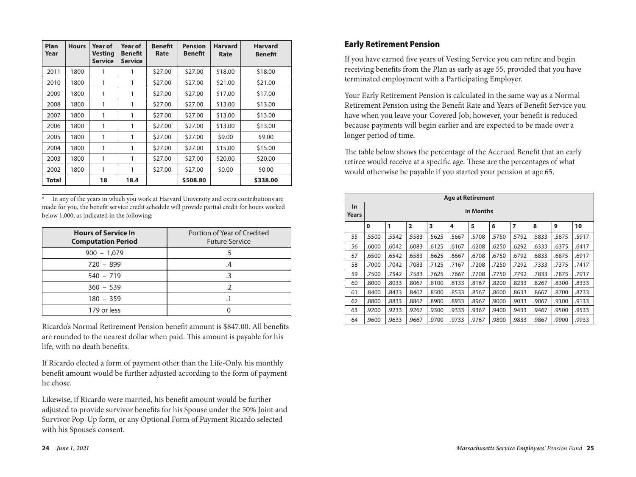| Plan<br>Year | <b>Hours</b> | <b>Year of</b><br><b>Vesting</b><br><b>Service</b> | <b>Year of</b><br><b>Benefit</b><br><b>Service</b> | <b>Benefit</b><br>Rate | <b>Pension</b><br><b>Benefit</b> | <b>Harvard</b><br>Rate | <b>Harvard</b><br>Benefit |
|--------------|--------------|----------------------------------------------------|----------------------------------------------------|------------------------|----------------------------------|------------------------|---------------------------|
| 2011         | 1800         | 1                                                  | 1                                                  | \$27.00                | \$27.00                          | \$18.00                | \$18.00                   |
| 2010         | 1800         | 1                                                  | 1                                                  | \$27.00                | \$27.00                          | \$21.00                | \$21.00                   |
| 2009         | 1800         | 1                                                  | 1                                                  | \$27.00                | \$27.00                          | \$17.00                | \$17.00                   |
| 2008         | 1800         | 1                                                  | 1                                                  | \$27.00                | \$27.00                          | \$13.00                | \$13.00                   |
| 2007         | 1800         | 1                                                  | 1                                                  | \$27.00                | \$27.00                          | \$13.00                | \$13.00                   |
| 2006         | 1800         | 1                                                  | 1                                                  | \$27.00                | \$27.00                          | \$13.00                | \$13.00                   |
| 2005         | 1800         | 1                                                  | 1                                                  | \$27.00                | \$27.00                          | \$9.00                 | \$9.00                    |
| 2004         | 1800         | 1                                                  | 1                                                  | \$27.00                | \$27.00                          | \$15.00                | \$15.00                   |
| 2003         | 1800         | 1                                                  | 1                                                  | \$27.00                | \$27.00                          | \$20.00                | \$20.00                   |
| 2002         | 1800         | 1                                                  | 1                                                  | \$27.00                | \$27.00                          | \$0.00                 | \$0.00                    |
| Total        |              | 18                                                 | 18.4                                               |                        | \$508.80                         |                        | \$338.00                  |

\* In any of the years in which you work at Harvard University and extra contributions are made for you, the benefit service credit schedule will provide partial credit for hours worked below 1,000, as indicated in the following:

| <b>Hours of Service In</b><br><b>Computation Period</b> | Portion of Year of Credited<br><b>Future Service</b> |
|---------------------------------------------------------|------------------------------------------------------|
| $900 - 1,079$                                           |                                                      |
| $720 - 899$                                             |                                                      |
| $540 - 719$                                             |                                                      |
| $360 - 539$                                             |                                                      |
| $180 - 359$                                             |                                                      |
| 179 or less                                             |                                                      |

Ricardo's Normal Retirement Pension benefit amount is \$847.00. All benefits are rounded to the nearest dollar when paid. This amount is payable for his life, with no death benefits.

If Ricardo elected a form of payment other than the Life-Only, his monthly benefit amount would be further adjusted according to the form of payment he chose.

Likewise, if Ricardo were married, his benefit amount would be further adjusted to provide survivor benefits for his Spouse under the 50% Joint and Survivor Pop-Up form, or any Optional Form of Payment Ricardo selected with his Spouse's consent.

## Early Retirement Pension

If you have earned five years of Vesting Service you can retire and begin receiving benefits from the Plan as early as age 55, provided that you have terminated employment with a Participating Employer.

Your Early Retirement Pension is calculated in the same way as a Normal Retirement Pension using the Benefit Rate and Years of Benefit Service you have when you leave your Covered Job; however, your benefit is reduced because payments will begin earlier and are expected to be made over a longer period of time.

The table below shows the percentage of the Accrued Benefit that an early retiree would receive at a specific age. These are the percentages of what would otherwise be payable if you started your pension at age 65.

|                    | <b>Age at Retirement</b> |           |                |       |       |       |       |                |       |       |       |
|--------------------|--------------------------|-----------|----------------|-------|-------|-------|-------|----------------|-------|-------|-------|
| <b>In</b><br>Years |                          | In Months |                |       |       |       |       |                |       |       |       |
|                    | 0                        | 1         | $\overline{2}$ | 3     | 4     | 5     | 6     | $\overline{7}$ | 8     | 9     | 10    |
| 55                 | .5500                    | .5542     | .5583          | .5625 | .5667 | .5708 | .5750 | .5792          | .5833 | .5875 | .5917 |
| 56                 | .6000                    | .6042     | .6083          | .6125 | .6167 | .6208 | .6250 | .6292          | .6333 | .6375 | .6417 |
| 57                 | .6500                    | .6542     | .6583          | .6625 | .6667 | .6708 | .6750 | .6792          | .6833 | .6875 | .6917 |
| 58                 | .7000                    | .7042     | .7083          | .7125 | .7167 | .7208 | .7250 | .7292          | .7333 | .7375 | .7417 |
| 59                 | .7500                    | .7542     | .7583          | .7625 | .7667 | .7708 | .7750 | .7792          | .7833 | .7875 | .7917 |
| 60                 | .8000                    | .8033     | .8067          | .8100 | .8133 | .8167 | .8200 | .8233          | .8267 | .8300 | .8333 |
| 61                 | .8400                    | .8433     | .8467          | .8500 | .8533 | .8567 | .8600 | .8633          | .8667 | .8700 | .8733 |
| 62                 | .8800                    | .8833     | .8867          | .8900 | .8933 | .8967 | .9000 | .9033          | .9067 | .9100 | .9133 |
| 63                 | .9200                    | .9233     | .9267          | .9300 | .9333 | .9367 | .9400 | .9433          | .9467 | .9500 | .9533 |
| 64                 | .9600                    | .9633     | .9667          | .9700 | .9733 | .9767 | .9800 | .9833          | .9867 | .9900 | .9933 |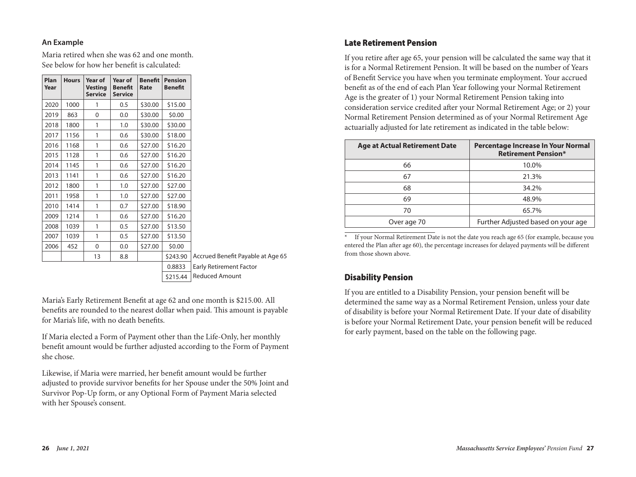#### **An Example**

Maria retired when she was 62 and one month. See below for how her benefit is calculated:

| Plan<br>Year | <b>Hours</b> | Year of<br><b>Vesting</b><br><b>Service</b> | Year of<br><b>Benefit</b><br><b>Service</b> | <b>Benefit</b><br>Rate | <b>Pension</b><br><b>Benefit</b> |                                   |
|--------------|--------------|---------------------------------------------|---------------------------------------------|------------------------|----------------------------------|-----------------------------------|
| 2020         | 1000         | 1                                           | 0.5                                         | \$30.00                | \$15.00                          |                                   |
| 2019         | 863          | $\mathbf{0}$                                | 0.0                                         | \$30.00                | \$0.00                           |                                   |
| 2018         | 1800         | 1                                           | 1.0                                         | \$30.00                | \$30.00                          |                                   |
| 2017         | 1156         | 1                                           | 0.6                                         | \$30.00                | \$18.00                          |                                   |
| 2016         | 1168         | 1                                           | 0.6                                         | \$27.00                | \$16.20                          |                                   |
| 2015         | 1128         | 1                                           | 0.6                                         | \$27.00                | \$16.20                          |                                   |
| 2014         | 1145         | 1                                           | 0.6                                         | \$27.00                | \$16.20                          |                                   |
| 2013         | 1141         | 1                                           | 0.6                                         | \$27.00                | \$16.20                          |                                   |
| 2012         | 1800         | 1                                           | 1.0                                         | \$27.00                | \$27.00                          |                                   |
| 2011         | 1958         | 1                                           | 1.0                                         | \$27.00                | \$27.00                          |                                   |
| 2010         | 1414         | 1                                           | 0.7                                         | \$27.00                | \$18.90                          |                                   |
| 2009         | 1214         | 1                                           | 0.6                                         | \$27.00                | \$16.20                          |                                   |
| 2008         | 1039         | 1                                           | 0.5                                         | \$27.00                | \$13.50                          |                                   |
| 2007         | 1039         | 1                                           | 0.5                                         | \$27.00                | \$13.50                          |                                   |
| 2006         | 452          | 0                                           | 0.0                                         | \$27.00                | \$0.00                           |                                   |
|              |              | 13                                          | 8.8                                         |                        | \$243.90                         | Accrued Benefit Payable at Age 65 |
|              |              |                                             |                                             |                        | 0.8833                           | <b>Early Retirement Factor</b>    |

v Retirement Factor \$215.44 | Reduced Amount

Maria's Early Retirement Benefit at age 62 and one month is \$215.00. All benefits are rounded to the nearest dollar when paid. This amount is payable for Maria's life, with no death benefits.

If Maria elected a Form of Payment other than the Life-Only, her monthly benefit amount would be further adjusted according to the Form of Payment she chose.

Likewise, if Maria were married, her benefit amount would be further adjusted to provide survivor benefits for her Spouse under the 50% Joint and Survivor Pop-Up form, or any Optional Form of Payment Maria selected with her Spouse's consent.

## Late Retirement Pension

If you retire after age 65, your pension will be calculated the same way that it is for a Normal Retirement Pension. It will be based on the number of Years of Benefit Service you have when you terminate employment. Your accrued benefit as of the end of each Plan Year following your Normal Retirement Age is the greater of 1) your Normal Retirement Pension taking into consideration service credited after your Normal Retirement Age; or 2) your Normal Retirement Pension determined as of your Normal Retirement Age actuarially adjusted for late retirement as indicated in the table below:

| <b>Age at Actual Retirement Date</b> | Percentage Increase In Your Normal<br><b>Retirement Pension*</b> |
|--------------------------------------|------------------------------------------------------------------|
| 66                                   | 10.0%                                                            |
| 67                                   | 21.3%                                                            |
| 68                                   | 34.2%                                                            |
| 69                                   | 48.9%                                                            |
| 70                                   | 65.7%                                                            |
| Over age 70                          | Further Adjusted based on your age                               |

If your Normal Retirement Date is not the date you reach age 65 (for example, because you entered the Plan after age 60), the percentage increases for delayed payments will be different from those shown above.

## Disability Pension

If you are entitled to a Disability Pension, your pension benefit will be determined the same way as a Normal Retirement Pension, unless your date of disability is before your Normal Retirement Date. If your date of disability is before your Normal Retirement Date, your pension benefit will be reduced for early payment, based on the table on the following page.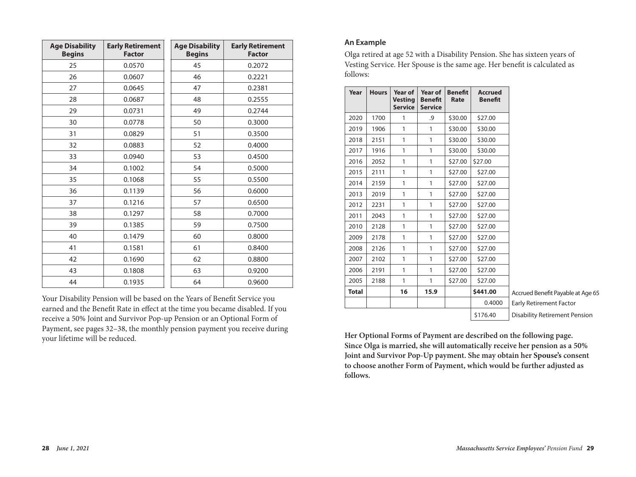| <b>Age Disability</b><br><b>Begins</b> | <b>Early Retirement</b><br><b>Factor</b> | <b>Age Disability</b><br><b>Begins</b> | <b>Early Retirement</b><br><b>Factor</b> |
|----------------------------------------|------------------------------------------|----------------------------------------|------------------------------------------|
| 25                                     | 0.0570                                   | 45                                     | 0.2072                                   |
| 26                                     | 0.0607                                   | 46                                     | 0.2221                                   |
| 27                                     | 0.0645                                   | 47                                     | 0.2381                                   |
| 28                                     | 0.0687                                   | 48                                     | 0.2555                                   |
| 29                                     | 0.0731                                   | 49                                     | 0.2744                                   |
| 30                                     | 0.0778                                   | 50                                     | 0.3000                                   |
| 31                                     | 0.0829                                   | 51                                     | 0.3500                                   |
| 32                                     | 0.0883                                   | 52                                     | 0.4000                                   |
| 33                                     | 0.0940                                   | 53                                     | 0.4500                                   |
| 34                                     | 0.1002                                   | 54                                     | 0.5000                                   |
| 35                                     | 0.1068                                   | 55                                     | 0.5500                                   |
| 36                                     | 0.1139                                   | 56                                     | 0.6000                                   |
| 37                                     | 0.1216                                   | 57                                     | 0.6500                                   |
| 38                                     | 0.1297                                   | 58                                     | 0.7000                                   |
| 39                                     | 0.1385                                   | 59                                     | 0.7500                                   |
| 40                                     | 0.1479                                   | 60                                     | 0.8000                                   |
| 41                                     | 0.1581                                   | 61                                     | 0.8400                                   |
| 42                                     | 0.1690                                   | 62                                     | 0.8800                                   |
| 43                                     | 0.1808                                   | 63                                     | 0.9200                                   |
| 44                                     | 0.1935                                   | 64                                     | 0.9600                                   |

Your Disability Pension will be based on the Years of Benefit Service you earned and the Benefit Rate in effect at the time you became disabled. If you receive a 50% Joint and Survivor Pop-up Pension or an Optional Form of Payment, see pages 32–38, the monthly pension payment you receive during your lifetime will be reduced.

#### **An Example**

Olga retired at age 52 with a Disability Pension. She has sixteen years of Vesting Service. Her Spouse is the same age. Her benefit is calculated as follows:

| Year         | <b>Hours</b> | Year of<br><b>Vesting</b><br><b>Service</b> | <b>Year of</b><br><b>Benefit</b><br><b>Service</b> | <b>Benefit</b><br>Rate | <b>Accrued</b><br><b>Benefit</b> |
|--------------|--------------|---------------------------------------------|----------------------------------------------------|------------------------|----------------------------------|
| 2020         | 1700         | 1                                           | .9                                                 | \$30.00                | \$27.00                          |
| 2019         | 1906         | 1                                           | 1                                                  | \$30.00                | \$30.00                          |
| 2018         | 2151         | 1                                           | 1                                                  | \$30.00                | \$30.00                          |
| 2017         | 1916         | 1                                           | 1                                                  | \$30.00                | \$30.00                          |
| 2016         | 2052         | 1                                           | 1                                                  | \$27.00                | \$27.00                          |
| 2015         | 2111         | 1                                           | 1                                                  | \$27.00                | \$27.00                          |
| 2014         | 2159         | 1                                           | 1                                                  | \$27.00                | \$27.00                          |
| 2013         | 2019         | 1                                           | 1                                                  | \$27.00                | \$27.00                          |
| 2012         | 2231         | 1                                           | 1                                                  | \$27.00                | \$27.00                          |
| 2011         | 2043         | 1                                           | 1                                                  | \$27.00                | \$27.00                          |
| 2010         | 2128         | 1                                           | 1                                                  | \$27.00                | \$27.00                          |
| 2009         | 2178         | 1                                           | 1                                                  | \$27.00                | \$27.00                          |
| 2008         | 2126         | 1                                           | 1                                                  | \$27.00                | \$27.00                          |
| 2007         | 2102         | 1                                           | 1                                                  | \$27.00                | \$27.00                          |
| 2006         | 2191         | 1                                           | 1                                                  | \$27.00                | \$27.00                          |
| 2005         | 2188         | 1                                           | 1                                                  | \$27.00                | \$27.00                          |
| <b>Total</b> |              | 16                                          | 15.9                                               |                        | \$441.00                         |
|              |              |                                             |                                                    |                        | 0.4000                           |
|              |              |                                             |                                                    |                        | \$176.40                         |

Accrued Benefit Payable at Age 65 Early Retirement Factor Disability Retirement Pension

**Her Optional Forms of Payment are described on the following page. Since Olga is married, she will automatically receive her pension as a 50% Joint and Survivor Pop-Up payment. She may obtain her Spouse's consent to choose another Form of Payment, which would be further adjusted as follows.**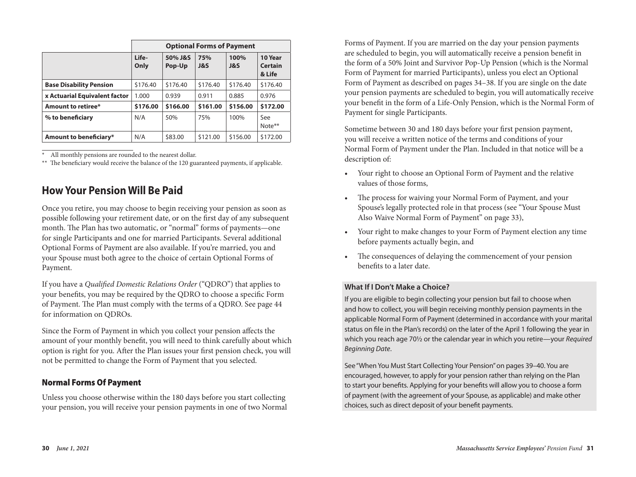|                                | <b>Optional Forms of Payment</b> |                   |                       |             |                                     |  |  |  |
|--------------------------------|----------------------------------|-------------------|-----------------------|-------------|-------------------------------------|--|--|--|
|                                | Life-<br>Only                    | 50% J&S<br>Pop-Up | 75%<br><b>J&amp;S</b> | 100%<br>J&S | 10 Year<br><b>Certain</b><br>& Life |  |  |  |
| <b>Base Disability Pension</b> | \$176.40                         | \$176.40          | \$176.40              | \$176.40    | \$176.40                            |  |  |  |
| x Actuarial Equivalent factor  | 1.000                            | 0.939             | 0.911                 | 0.885       | 0.976                               |  |  |  |
| Amount to retiree*             | \$176.00                         | \$166.00          | \$161.00              | \$156.00    | \$172.00                            |  |  |  |
| % to beneficiary               | N/A                              | 50%               | 75%                   | 100%        | See<br>Note <sup>**</sup>           |  |  |  |
| Amount to beneficiary*         | N/A                              | \$83.00           | \$121.00              | \$156.00    | \$172.00                            |  |  |  |

All monthly pensions are rounded to the nearest dollar.

\*\* The beneficiary would receive the balance of the 120 guaranteed payments, if applicable.

## **How Your Pension Will Be Paid**

Once you retire, you may choose to begin receiving your pension as soon as possible following your retirement date, or on the first day of any subsequent month. The Plan has two automatic, or "normal" forms of payments—one for single Participants and one for married Participants. Several additional Optional Forms of Payment are also available. If you're married, you and your Spouse must both agree to the choice of certain Optional Forms of Payment.

If you have a *Qualified Domestic Relations Order* ("QDRO") that applies to your benefits, you may be required by the QDRO to choose a specific Form of Payment. The Plan must comply with the terms of a QDRO. See page 44 for information on QDROs.

Since the Form of Payment in which you collect your pension affects the amount of your monthly benefit, you will need to think carefully about which option is right for you. After the Plan issues your first pension check, you will not be permitted to change the Form of Payment that you selected.

## Normal Forms Of Payment

Unless you choose otherwise within the 180 days before you start collecting your pension, you will receive your pension payments in one of two Normal

Forms of Payment. If you are married on the day your pension payments are scheduled to begin, you will automatically receive a pension benefit in the form of a 50% Joint and Survivor Pop-Up Pension (which is the Normal Form of Payment for married Participants), unless you elect an Optional Form of Payment as described on pages 34–38. If you are single on the date your pension payments are scheduled to begin, you will automatically receive your benefit in the form of a Life-Only Pension, which is the Normal Form of Payment for single Participants.

Sometime between 30 and 180 days before your first pension payment, you will receive a written notice of the terms and conditions of your Normal Form of Payment under the Plan. Included in that notice will be a description of:

- Your right to choose an Optional Form of Payment and the relative values of those forms,
- The process for waiving your Normal Form of Payment, and your Spouse's legally protected role in that process (see "Your Spouse Must Also Waive Normal Form of Payment" on page 33),
- Your right to make changes to your Form of Payment election any time before payments actually begin, and
- The consequences of delaying the commencement of your pension benefits to a later date.

#### **What If I Don't Make a Choice?**

If you are eligible to begin collecting your pension but fail to choose when and how to collect, you will begin receiving monthly pension payments in the applicable Normal Form of Payment (determined in accordance with your marital status on file in the Plan's records) on the later of the April 1 following the year in which you reach age 70½ or the calendar year in which you retire—your *Required Beginning Date*.

See "When You Must Start Collecting Your Pension" on pages 39–40. You are encouraged, however, to apply for your pension rather than relying on the Plan to start your benefits. Applying for your benefits will allow you to choose a form of payment (with the agreement of your Spouse, as applicable) and make other choices, such as direct deposit of your benefit payments.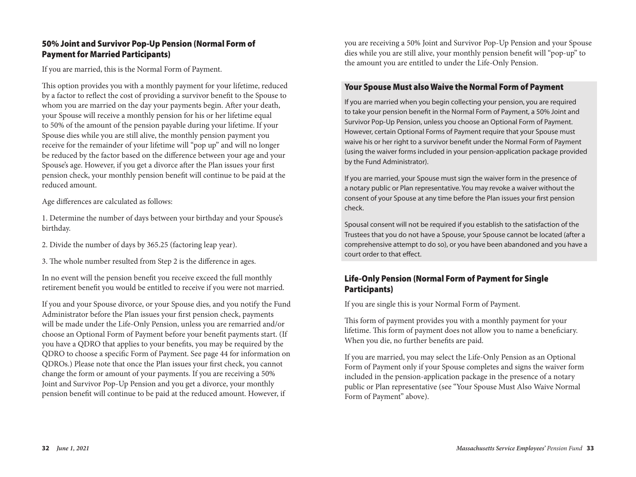## 50% Joint and Survivor Pop-Up Pension (Normal Form of Payment for Married Participants)

If you are married, this is the Normal Form of Payment.

This option provides you with a monthly payment for your lifetime, reduced by a factor to reflect the cost of providing a survivor benefit to the Spouse to whom you are married on the day your payments begin. After your death, your Spouse will receive a monthly pension for his or her lifetime equal to 50% of the amount of the pension payable during your lifetime. If your Spouse dies while you are still alive, the monthly pension payment you receive for the remainder of your lifetime will "pop up" and will no longer be reduced by the factor based on the difference between your age and your Spouse's age. However, if you get a divorce after the Plan issues your first pension check, your monthly pension benefit will continue to be paid at the reduced amount.

Age differences are calculated as follows:

1. Determine the number of days between your birthday and your Spouse's birthday.

- 2. Divide the number of days by 365.25 (factoring leap year).
- 3. The whole number resulted from Step 2 is the difference in ages.

In no event will the pension benefit you receive exceed the full monthly retirement benefit you would be entitled to receive if you were not married.

If you and your Spouse divorce, or your Spouse dies, and you notify the Fund Administrator before the Plan issues your first pension check, payments will be made under the Life-Only Pension, unless you are remarried and/or choose an Optional Form of Payment before your benefit payments start. (If you have a QDRO that applies to your benefits, you may be required by the QDRO to choose a specific Form of Payment. See page 44 for information on QDROs.) Please note that once the Plan issues your first check, you cannot change the form or amount of your payments. If you are receiving a 50% Joint and Survivor Pop-Up Pension and you get a divorce, your monthly pension benefit will continue to be paid at the reduced amount. However, if

you are receiving a 50% Joint and Survivor Pop-Up Pension and your Spouse dies while you are still alive, your monthly pension benefit will "pop-up" to the amount you are entitled to under the Life-Only Pension.

#### Your Spouse Must also Waive the Normal Form of Payment

If you are married when you begin collecting your pension, you are required to take your pension benefit in the Normal Form of Payment, a 50% Joint and Survivor Pop-Up Pension, unless you choose an Optional Form of Payment. However, certain Optional Forms of Payment require that your Spouse must waive his or her right to a survivor benefit under the Normal Form of Payment (using the waiver forms included in your pension-application package provided by the Fund Administrator).

If you are married, your Spouse must sign the waiver form in the presence of a notary public or Plan representative. You may revoke a waiver without the consent of your Spouse at any time before the Plan issues your first pension check.

Spousal consent will not be required if you establish to the satisfaction of the Trustees that you do not have a Spouse, your Spouse cannot be located (after a comprehensive attempt to do so), or you have been abandoned and you have a court order to that effect.

## Life-Only Pension (Normal Form of Payment for Single Participants)

If you are single this is your Normal Form of Payment.

This form of payment provides you with a monthly payment for your lifetime. This form of payment does not allow you to name a beneficiary. When you die, no further benefits are paid.

If you are married, you may select the Life-Only Pension as an Optional Form of Payment only if your Spouse completes and signs the waiver form included in the pension-application package in the presence of a notary public or Plan representative (see "Your Spouse Must Also Waive Normal Form of Payment" above).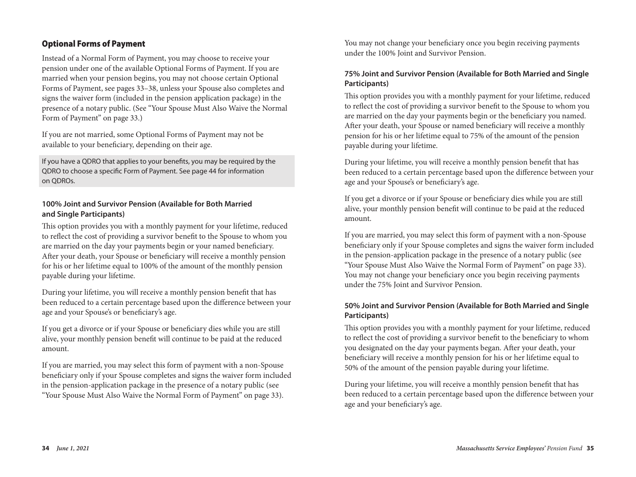## Optional Forms of Payment

Instead of a Normal Form of Payment, you may choose to receive your pension under one of the available Optional Forms of Payment. If you are married when your pension begins, you may not choose certain Optional Forms of Payment, see pages 33–38, unless your Spouse also completes and signs the waiver form (included in the pension application package) in the presence of a notary public. (See "Your Spouse Must Also Waive the Normal Form of Payment" on page 33.)

If you are not married, some Optional Forms of Payment may not be available to your beneficiary, depending on their age.

If you have a QDRO that applies to your benefits, you may be required by the QDRO to choose a specific Form of Payment. See page 44 for information on QDROs.

#### **100% Joint and Survivor Pension (Available for Both Married and Single Participants)**

This option provides you with a monthly payment for your lifetime, reduced to reflect the cost of providing a survivor benefit to the Spouse to whom you are married on the day your payments begin or your named beneficiary. After your death, your Spouse or beneficiary will receive a monthly pension for his or her lifetime equal to 100% of the amount of the monthly pension payable during your lifetime.

During your lifetime, you will receive a monthly pension benefit that has been reduced to a certain percentage based upon the difference between your age and your Spouse's or beneficiary's age.

If you get a divorce or if your Spouse or beneficiary dies while you are still alive, your monthly pension benefit will continue to be paid at the reduced amount.

If you are married, you may select this form of payment with a non-Spouse beneficiary only if your Spouse completes and signs the waiver form included in the pension-application package in the presence of a notary public (see "Your Spouse Must Also Waive the Normal Form of Payment" on page 33).

You may not change your beneficiary once you begin receiving payments under the 100% Joint and Survivor Pension.

## **75% Joint and Survivor Pension (Available for Both Married and Single Participants)**

This option provides you with a monthly payment for your lifetime, reduced to reflect the cost of providing a survivor benefit to the Spouse to whom you are married on the day your payments begin or the beneficiary you named. After your death, your Spouse or named beneficiary will receive a monthly pension for his or her lifetime equal to 75% of the amount of the pension payable during your lifetime.

During your lifetime, you will receive a monthly pension benefit that has been reduced to a certain percentage based upon the difference between your age and your Spouse's or beneficiary's age.

If you get a divorce or if your Spouse or beneficiary dies while you are still alive, your monthly pension benefit will continue to be paid at the reduced amount.

If you are married, you may select this form of payment with a non-Spouse beneficiary only if your Spouse completes and signs the waiver form included in the pension-application package in the presence of a notary public (see "Your Spouse Must Also Waive the Normal Form of Payment" on page 33). You may not change your beneficiary once you begin receiving payments under the 75% Joint and Survivor Pension.

## **50% Joint and Survivor Pension (Available for Both Married and Single Participants)**

This option provides you with a monthly payment for your lifetime, reduced to reflect the cost of providing a survivor benefit to the beneficiary to whom you designated on the day your payments began. After your death, your beneficiary will receive a monthly pension for his or her lifetime equal to 50% of the amount of the pension payable during your lifetime.

During your lifetime, you will receive a monthly pension benefit that has been reduced to a certain percentage based upon the difference between your age and your beneficiary's age.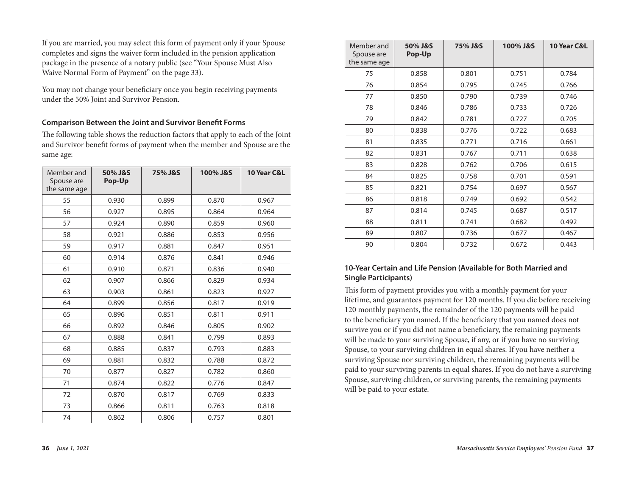If you are married, you may select this form of payment only if your Spouse completes and signs the waiver form included in the pension application package in the presence of a notary public (see "Your Spouse Must Also Waive Normal Form of Payment" on the page 33).

You may not change your beneficiary once you begin receiving payments under the 50% Joint and Survivor Pension.

#### **Comparison Between the Joint and Survivor Benefit Forms**

The following table shows the reduction factors that apply to each of the Joint and Survivor benefit forms of payment when the member and Spouse are the same age:

| Member and<br>Spouse are<br>the same age | 50% J&S<br>Pop-Up | 75% J&S | 100% J&S | 10 Year C&L |
|------------------------------------------|-------------------|---------|----------|-------------|
| 55                                       | 0.930             | 0.899   | 0.870    | 0.967       |
| 56                                       | 0.927             | 0.895   | 0.864    | 0.964       |
| 57                                       | 0.924             | 0.890   | 0.859    | 0.960       |
| 58                                       | 0.921             | 0.886   | 0.853    | 0.956       |
| 59                                       | 0.917             | 0.881   | 0.847    | 0.951       |
| 60                                       | 0.914             | 0.876   | 0.841    | 0.946       |
| 61                                       | 0.910             | 0.871   | 0.836    | 0.940       |
| 62                                       | 0.907             | 0.866   | 0.829    | 0.934       |
| 63                                       | 0.903             | 0.861   | 0.823    | 0.927       |
| 64                                       | 0.899             | 0.856   | 0.817    | 0.919       |
| 65                                       | 0.896             | 0.851   | 0.811    | 0.911       |
| 66                                       | 0.892             | 0.846   | 0.805    | 0.902       |
| 67                                       | 0.888             | 0.841   | 0.799    | 0.893       |
| 68                                       | 0.885             | 0.837   | 0.793    | 0.883       |
| 69                                       | 0.881             | 0.832   | 0.788    | 0.872       |
| 70                                       | 0.877             | 0.827   | 0.782    | 0.860       |
| 71                                       | 0.874             | 0.822   | 0.776    | 0.847       |
| 72                                       | 0.870             | 0.817   | 0.769    | 0.833       |
| 73                                       | 0.866             | 0.811   | 0.763    | 0.818       |
| 74                                       | 0.862             | 0.806   | 0.757    | 0.801       |

| Member and<br>Spouse are<br>the same age | 50% J&S<br>Pop-Up | 75% J&S | 100% J&S | 10 Year C&L |
|------------------------------------------|-------------------|---------|----------|-------------|
| 75                                       | 0.858             | 0.801   | 0.751    | 0.784       |
| 76                                       | 0.854             | 0.795   | 0.745    | 0.766       |
| 77                                       | 0.850             | 0.790   | 0.739    | 0.746       |
| 78                                       | 0.846             | 0.786   | 0.733    | 0.726       |
| 79                                       | 0.842             | 0.781   | 0.727    | 0.705       |
| 80                                       | 0.838             | 0.776   | 0.722    | 0.683       |
| 81                                       | 0.835             | 0.771   | 0.716    | 0.661       |
| 82                                       | 0.831             | 0.767   | 0.711    | 0.638       |
| 83                                       | 0.828             | 0.762   | 0.706    | 0.615       |
| 84                                       | 0.825             | 0.758   | 0.701    | 0.591       |
| 85                                       | 0.821             | 0.754   | 0.697    | 0.567       |
| 86                                       | 0.818             | 0.749   | 0.692    | 0.542       |
| 87                                       | 0.814             | 0.745   | 0.687    | 0.517       |
| 88                                       | 0.811             | 0.741   | 0.682    | 0.492       |
| 89                                       | 0.807             | 0.736   | 0.677    | 0.467       |
| 90                                       | 0.804             | 0.732   | 0.672    | 0.443       |

### **10-Year Certain and Life Pension (Available for Both Married and Single Participants)**

This form of payment provides you with a monthly payment for your lifetime, and guarantees payment for 120 months. If you die before receiving 120 monthly payments, the remainder of the 120 payments will be paid to the beneficiary you named. If the beneficiary that you named does not survive you or if you did not name a beneficiary, the remaining payments will be made to your surviving Spouse, if any, or if you have no surviving Spouse, to your surviving children in equal shares. If you have neither a surviving Spouse nor surviving children, the remaining payments will be paid to your surviving parents in equal shares. If you do not have a surviving Spouse, surviving children, or surviving parents, the remaining payments will be paid to your estate.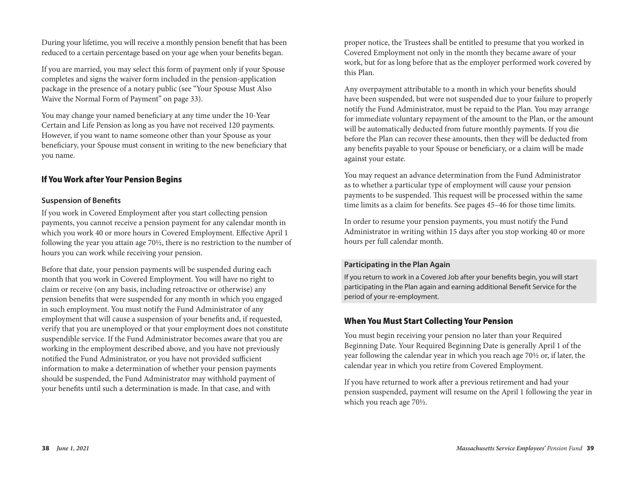During your lifetime, you will receive a monthly pension benefit that has been reduced to a certain percentage based on your age when your benefits began.

If you are married, you may select this form of payment only if your Spouse completes and signs the waiver form included in the pension-application package in the presence of a notary public (see "Your Spouse Must Also Waive the Normal Form of Payment" on page 33).

You may change your named beneficiary at any time under the 10-Year Certain and Life Pension as long as you have not received 120 payments. However, if you want to name someone other than your Spouse as your beneficiary, your Spouse must consent in writing to the new beneficiary that you name.

## If You Work after Your Pension Begins

#### **Suspension of Benefits**

If you work in Covered Employment after you start collecting pension payments, you cannot receive a pension payment for any calendar month in which you work 40 or more hours in Covered Employment. Effective April 1 following the year you attain age 70½, there is no restriction to the number of hours you can work while receiving your pension.

Before that date, your pension payments will be suspended during each month that you work in Covered Employment. You will have no right to claim or receive (on any basis, including retroactive or otherwise) any pension benefits that were suspended for any month in which you engaged in such employment. You must notify the Fund Administrator of any employment that will cause a suspension of your benefits and, if requested, verify that you are unemployed or that your employment does not constitute suspendible service. If the Fund Administrator becomes aware that you are working in the employment described above, and you have not previously notified the Fund Administrator, or you have not provided sufficient information to make a determination of whether your pension payments should be suspended, the Fund Administrator may withhold payment of your benefits until such a determination is made. In that case, and with

proper notice, the Trustees shall be entitled to presume that you worked in Covered Employment not only in the month they became aware of your work, but for as long before that as the employer performed work covered by this Plan.

Any overpayment attributable to a month in which your benefits should have been suspended, but were not suspended due to your failure to properly notify the Fund Administrator, must be repaid to the Plan. You may arrange for immediate voluntary repayment of the amount to the Plan, or the amount will be automatically deducted from future monthly payments. If you die before the Plan can recover these amounts, then they will be deducted from any benefits payable to your Spouse or beneficiary, or a claim will be made against your estate.

You may request an advance determination from the Fund Administrator as to whether a particular type of employment will cause your pension payments to be suspended. This request will be processed within the same time limits as a claim for benefits. See pages 45–46 for those time limits.

In order to resume your pension payments, you must notify the Fund Administrator in writing within 15 days after you stop working 40 or more hours per full calendar month.

#### **Participating in the Plan Again**

If you return to work in a Covered Job after your benefits begin, you will start participating in the Plan again and earning additional Benefit Service for the period of your re-employment.

## When You Must Start Collecting Your Pension

You must begin receiving your pension no later than your Required Beginning Date. Your Required Beginning Date is generally April 1 of the year following the calendar year in which you reach age 70½ or, if later, the calendar year in which you retire from Covered Employment.

If you have returned to work after a previous retirement and had your pension suspended, payment will resume on the April 1 following the year in which you reach age 70½.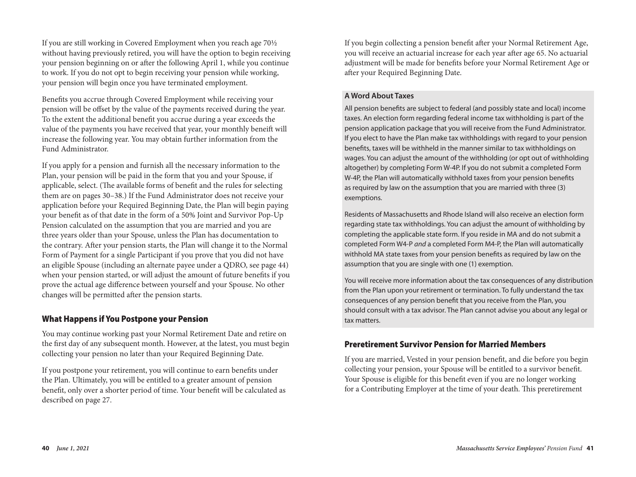If you are still working in Covered Employment when you reach age 70½ without having previously retired, you will have the option to begin receiving your pension beginning on or after the following April 1, while you continue to work. If you do not opt to begin receiving your pension while working, your pension will begin once you have terminated employment.

Benefits you accrue through Covered Employment while receiving your pension will be offset by the value of the payments received during the year. To the extent the additional benefit you accrue during a year exceeds the value of the payments you have received that year, your monthly beneift will increase the following year. You may obtain further information from the Fund Administrator.

If you apply for a pension and furnish all the necessary information to the Plan, your pension will be paid in the form that you and your Spouse, if applicable, select. (The available forms of benefit and the rules for selecting them are on pages 30–38.) If the Fund Administrator does not receive your application before your Required Beginning Date, the Plan will begin paying your benefit as of that date in the form of a 50% Joint and Survivor Pop-Up Pension calculated on the assumption that you are married and you are three years older than your Spouse, unless the Plan has documentation to the contrary. After your pension starts, the Plan will change it to the Normal Form of Payment for a single Participant if you prove that you did not have an eligible Spouse (including an alternate payee under a QDRO, see page 44) when your pension started, or will adjust the amount of future benefits if you prove the actual age difference between yourself and your Spouse. No other changes will be permitted after the pension starts.

## What Happens if You Postpone your Pension

You may continue working past your Normal Retirement Date and retire on the first day of any subsequent month. However, at the latest, you must begin collecting your pension no later than your Required Beginning Date.

If you postpone your retirement, you will continue to earn benefits under the Plan. Ultimately, you will be entitled to a greater amount of pension benefit, only over a shorter period of time. Your benefit will be calculated as described on page 27.

If you begin collecting a pension benefit after your Normal Retirement Age, you will receive an actuarial increase for each year after age 65. No actuarial adjustment will be made for benefits before your Normal Retirement Age or after your Required Beginning Date.

#### **A Word About Taxes**

All pension benefits are subject to federal (and possibly state and local) income taxes. An election form regarding federal income tax withholding is part of the pension application package that you will receive from the Fund Administrator. If you elect to have the Plan make tax withholdings with regard to your pension benefits, taxes will be withheld in the manner similar to tax withholdings on wages. You can adjust the amount of the withholding (or opt out of withholding altogether) by completing Form W-4P. If you do not submit a completed Form W-4P, the Plan will automatically withhold taxes from your pension benefits as required by law on the assumption that you are married with three (3) exemptions.

Residents of Massachusetts and Rhode Island will also receive an election form regarding state tax withholdings. You can adjust the amount of withholding by completing the applicable state form. If you reside in MA and do not submit a completed Form W4-P *and* a completed Form M4-P, the Plan will automatically withhold MA state taxes from your pension benefits as required by law on the assumption that you are single with one (1) exemption.

You will receive more information about the tax consequences of any distribution from the Plan upon your retirement or termination. To fully understand the tax consequences of any pension benefit that you receive from the Plan, you should consult with a tax advisor. The Plan cannot advise you about any legal or tax matters.

#### Preretirement Survivor Pension for Married Members

If you are married, Vested in your pension benefit, and die before you begin collecting your pension, your Spouse will be entitled to a survivor benefit. Your Spouse is eligible for this benefit even if you are no longer working for a Contributing Employer at the time of your death. This preretirement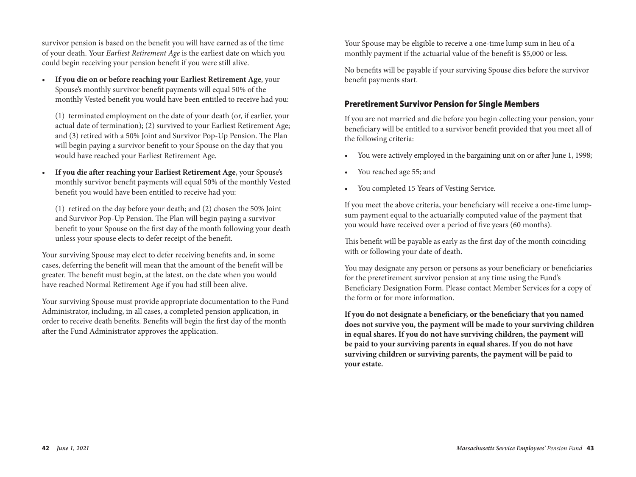survivor pension is based on the benefit you will have earned as of the time of your death. Your *Earliest Retirement Age* is the earliest date on which you could begin receiving your pension benefit if you were still alive.

• **If you die on or before reaching your Earliest Retirement Age**, your Spouse's monthly survivor benefit payments will equal 50% of the monthly Vested benefit you would have been entitled to receive had you:

 (1) terminated employment on the date of your death (or, if earlier, your actual date of termination); (2) survived to your Earliest Retirement Age; and (3) retired with a 50% Joint and Survivor Pop-Up Pension. The Plan will begin paying a survivor benefit to your Spouse on the day that you would have reached your Earliest Retirement Age.

• **If you die after reaching your Earliest Retirement Age**, your Spouse's monthly survivor benefit payments will equal 50% of the monthly Vested benefit you would have been entitled to receive had you:

 (1) retired on the day before your death; and (2) chosen the 50% Joint and Survivor Pop-Up Pension. The Plan will begin paying a survivor benefit to your Spouse on the first day of the month following your death unless your spouse elects to defer receipt of the benefit.

Your surviving Spouse may elect to defer receiving benefits and, in some cases, deferring the benefit will mean that the amount of the benefit will be greater. The benefit must begin, at the latest, on the date when you would have reached Normal Retirement Age if you had still been alive.

Your surviving Spouse must provide appropriate documentation to the Fund Administrator, including, in all cases, a completed pension application, in order to receive death benefits. Benefits will begin the first day of the month after the Fund Administrator approves the application.

Your Spouse may be eligible to receive a one-time lump sum in lieu of a monthly payment if the actuarial value of the benefit is \$5,000 or less.

No benefits will be payable if your surviving Spouse dies before the survivor benefit payments start.

## Preretirement Survivor Pension for Single Members

If you are not married and die before you begin collecting your pension, your beneficiary will be entitled to a survivor benefit provided that you meet all of the following criteria:

- You were actively employed in the bargaining unit on or after June 1, 1998;
- You reached age 55; and
- You completed 15 Years of Vesting Service.

If you meet the above criteria, your beneficiary will receive a one-time lumpsum payment equal to the actuarially computed value of the payment that you would have received over a period of five years (60 months).

This benefit will be payable as early as the first day of the month coinciding with or following your date of death.

You may designate any person or persons as your beneficiary or beneficiaries for the preretirement survivor pension at any time using the Fund's Beneficiary Designation Form. Please contact Member Services for a copy of the form or for more information.

**If you do not designate a beneficiary, or the beneficiary that you named does not survive you, the payment will be made to your surviving children in equal shares. If you do not have surviving children, the payment will be paid to your surviving parents in equal shares. If you do not have surviving children or surviving parents, the payment will be paid to your estate.**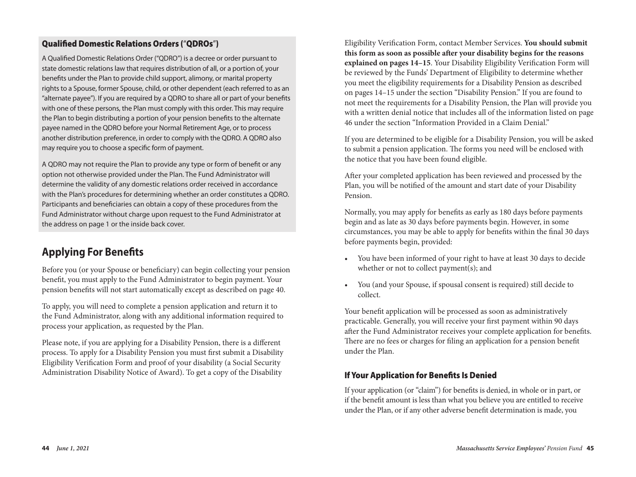## Qualified Domestic Relations Orders ("QDROs")

A Qualified Domestic Relations Order ("QDRO") is a decree or order pursuant to state domestic relations law that requires distribution of all, or a portion of, your benefits under the Plan to provide child support, alimony, or marital property rights to a Spouse, former Spouse, child, or other dependent (each referred to as an "alternate payee"). If you are required by a QDRO to share all or part of your benefits with one of these persons, the Plan must comply with this order. This may require the Plan to begin distributing a portion of your pension benefits to the alternate payee named in the QDRO before your Normal Retirement Age, or to process another distribution preference, in order to comply with the QDRO. A QDRO also may require you to choose a specific form of payment.

A QDRO may not require the Plan to provide any type or form of benefit or any option not otherwise provided under the Plan. The Fund Administrator will determine the validity of any domestic relations order received in accordance with the Plan's procedures for determining whether an order constitutes a QDRO. Participants and beneficiaries can obtain a copy of these procedures from the Fund Administrator without charge upon request to the Fund Administrator at the address on page 1 or the inside back cover.

## **Applying For Benefits**

Before you (or your Spouse or beneficiary) can begin collecting your pension benefit, you must apply to the Fund Administrator to begin payment. Your pension benefits will not start automatically except as described on page 40.

To apply, you will need to complete a pension application and return it to the Fund Administrator, along with any additional information required to process your application, as requested by the Plan.

Please note, if you are applying for a Disability Pension, there is a different process. To apply for a Disability Pension you must first submit a Disability Eligibility Verification Form and proof of your disability (a Social Security Administration Disability Notice of Award). To get a copy of the Disability

Eligibility Verification Form, contact Member Services. **You should submit this form as soon as possible after your disability begins for the reasons explained on pages 14–15**. Your Disability Eligibility Verification Form will be reviewed by the Funds' Department of Eligibility to determine whether you meet the eligibility requirements for a Disability Pension as described on pages 14–15 under the section "Disability Pension." If you are found to not meet the requirements for a Disability Pension, the Plan will provide you with a written denial notice that includes all of the information listed on page 46 under the section "Information Provided in a Claim Denial."

If you are determined to be eligible for a Disability Pension, you will be asked to submit a pension application. The forms you need will be enclosed with the notice that you have been found eligible.

After your completed application has been reviewed and processed by the Plan, you will be notified of the amount and start date of your Disability Pension.

Normally, you may apply for benefits as early as 180 days before payments begin and as late as 30 days before payments begin. However, in some circumstances, you may be able to apply for benefits within the final 30 days before payments begin, provided:

- You have been informed of your right to have at least 30 days to decide whether or not to collect payment(s); and
- You (and your Spouse, if spousal consent is required) still decide to collect.

Your benefit application will be processed as soon as administratively practicable. Generally, you will receive your first payment within 90 days after the Fund Administrator receives your complete application for benefits. There are no fees or charges for filing an application for a pension benefit under the Plan.

## If Your Application for Benefits Is Denied

If your application (or "claim") for benefits is denied, in whole or in part, or if the benefit amount is less than what you believe you are entitled to receive under the Plan, or if any other adverse benefit determination is made, you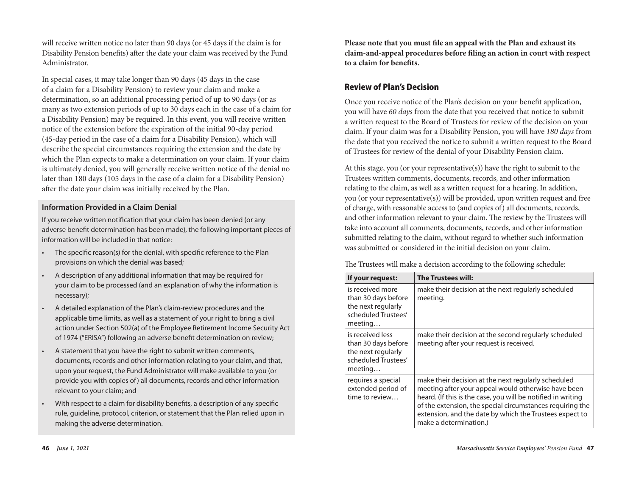will receive written notice no later than 90 days (or 45 days if the claim is for Disability Pension benefits) after the date your claim was received by the Fund Administrator.

In special cases, it may take longer than 90 days (45 days in the case of a claim for a Disability Pension) to review your claim and make a determination, so an additional processing period of up to 90 days (or as many as two extension periods of up to 30 days each in the case of a claim for a Disability Pension) may be required. In this event, you will receive written notice of the extension before the expiration of the initial 90-day period (45-day period in the case of a claim for a Disability Pension), which will describe the special circumstances requiring the extension and the date by which the Plan expects to make a determination on your claim. If your claim is ultimately denied, you will generally receive written notice of the denial no later than 180 days (105 days in the case of a claim for a Disability Pension) after the date your claim was initially received by the Plan.

#### **Information Provided in a Claim Denial**

If you receive written notification that your claim has been denied (or any adverse benefit determination has been made), the following important pieces of information will be included in that notice:

- The specific reason(s) for the denial, with specific reference to the Plan provisions on which the denial was based;
- A description of any additional information that may be required for your claim to be processed (and an explanation of why the information is necessary);
- A detailed explanation of the Plan's claim-review procedures and the applicable time limits, as well as a statement of your right to bring a civil action under Section 502(a) of the Employee Retirement Income Security Act of 1974 ("ERISA") following an adverse benefit determination on review;
- A statement that you have the right to submit written comments, documents, records and other information relating to your claim, and that, upon your request, the Fund Administrator will make available to you (or provide you with copies of) all documents, records and other information relevant to your claim; and
- With respect to a claim for disability benefits, a description of any specific rule, guideline, protocol, criterion, or statement that the Plan relied upon in making the adverse determination.

**Please note that you must file an appeal with the Plan and exhaust its claim-and-appeal procedures before filing an action in court with respect to a claim for benefits.**

## Review of Plan's Decision

Once you receive notice of the Plan's decision on your benefit application, you will have *60 days* from the date that you received that notice to submit a written request to the Board of Trustees for review of the decision on your claim. If your claim was for a Disability Pension, you will have *180 days* from the date that you received the notice to submit a written request to the Board of Trustees for review of the denial of your Disability Pension claim.

At this stage, you (or your representative(s)) have the right to submit to the Trustees written comments, documents, records, and other information relating to the claim, as well as a written request for a hearing. In addition, you (or your representative(s)) will be provided, upon written request and free of charge, with reasonable access to (and copies of) all documents, records, and other information relevant to your claim. The review by the Trustees will take into account all comments, documents, records, and other information submitted relating to the claim, without regard to whether such information was submitted or considered in the initial decision on your claim.

The Trustees will make a decision according to the following schedule:

| If your request:                                                                                | <b>The Trustees will:</b>                                                                                                                                                                                                                                                                                                    |
|-------------------------------------------------------------------------------------------------|------------------------------------------------------------------------------------------------------------------------------------------------------------------------------------------------------------------------------------------------------------------------------------------------------------------------------|
| is received more<br>than 30 days before<br>the next regularly<br>scheduled Trustees'<br>meeting | make their decision at the next regularly scheduled<br>meeting.                                                                                                                                                                                                                                                              |
| is received less<br>than 30 days before<br>the next regularly<br>scheduled Trustees'<br>meeting | make their decision at the second regularly scheduled<br>meeting after your request is received.                                                                                                                                                                                                                             |
| requires a special<br>extended period of<br>time to review                                      | make their decision at the next regularly scheduled<br>meeting after your appeal would otherwise have been<br>heard. (If this is the case, you will be notified in writing<br>of the extension, the special circumstances requiring the<br>extension, and the date by which the Trustees expect to<br>make a determination.) |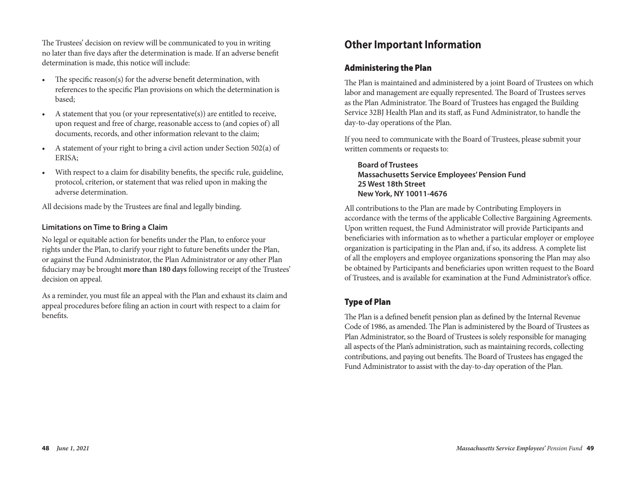The Trustees' decision on review will be communicated to you in writing no later than five days after the determination is made. If an adverse benefit determination is made, this notice will include:

- The specific reason(s) for the adverse benefit determination, with references to the specific Plan provisions on which the determination is based;
- A statement that you (or your representative(s)) are entitled to receive, upon request and free of charge, reasonable access to (and copies of) all documents, records, and other information relevant to the claim;
- A statement of your right to bring a civil action under Section 502(a) of ERISA;
- With respect to a claim for disability benefits, the specific rule, guideline, protocol, criterion, or statement that was relied upon in making the adverse determination.

All decisions made by the Trustees are final and legally binding.

## **Limitations on Time to Bring a Claim**

No legal or equitable action for benefits under the Plan, to enforce your rights under the Plan, to clarify your right to future benefits under the Plan, or against the Fund Administrator, the Plan Administrator or any other Plan fiduciary may be brought **more than 180 days** following receipt of the Trustees' decision on appeal.

As a reminder, you must file an appeal with the Plan and exhaust its claim and appeal procedures before filing an action in court with respect to a claim for benefits.

## **Other Important Information**

## Administering the Plan

The Plan is maintained and administered by a joint Board of Trustees on which labor and management are equally represented. The Board of Trustees serves as the Plan Administrator. The Board of Trustees has engaged the Building Service 32BJ Health Plan and its staff, as Fund Administrator, to handle the day-to-day operations of the Plan.

If you need to communicate with the Board of Trustees, please submit your written comments or requests to:

**Board of Trustees Massachusetts Service Employees' Pension Fund 25 West 18th Street New York, NY 10011-4676**

All contributions to the Plan are made by Contributing Employers in accordance with the terms of the applicable Collective Bargaining Agreements. Upon written request, the Fund Administrator will provide Participants and beneficiaries with information as to whether a particular employer or employee organization is participating in the Plan and, if so, its address. A complete list of all the employers and employee organizations sponsoring the Plan may also be obtained by Participants and beneficiaries upon written request to the Board of Trustees, and is available for examination at the Fund Administrator's office.

## Type of Plan

The Plan is a defined benefit pension plan as defined by the Internal Revenue Code of 1986, as amended. The Plan is administered by the Board of Trustees as Plan Administrator, so the Board of Trustees is solely responsible for managing all aspects of the Plan's administration, such as maintaining records, collecting contributions, and paying out benefits. The Board of Trustees has engaged the Fund Administrator to assist with the day-to-day operation of the Plan.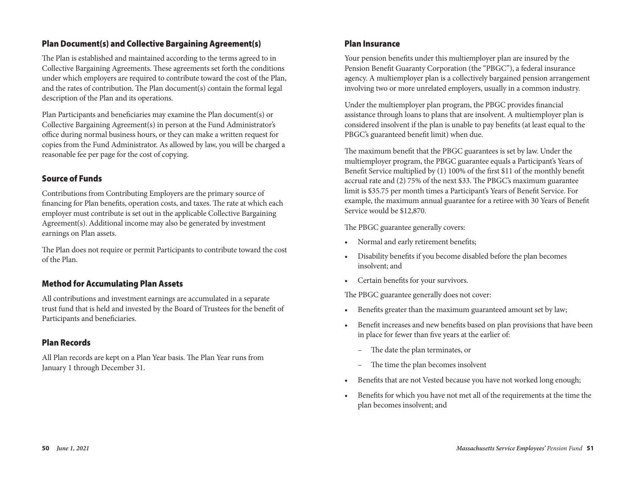## Plan Document(s) and Collective Bargaining Agreement(s)

The Plan is established and maintained according to the terms agreed to in Collective Bargaining Agreements. These agreements set forth the conditions under which employers are required to contribute toward the cost of the Plan, and the rates of contribution. The Plan document(s) contain the formal legal description of the Plan and its operations.

Plan Participants and beneficiaries may examine the Plan document(s) or Collective Bargaining Agreement(s) in person at the Fund Administrator's office during normal business hours, or they can make a written request for copies from the Fund Administrator. As allowed by law, you will be charged a reasonable fee per page for the cost of copying.

## Source of Funds

Contributions from Contributing Employers are the primary source of financing for Plan benefits, operation costs, and taxes. The rate at which each employer must contribute is set out in the applicable Collective Bargaining Agreement(s). Additional income may also be generated by investment earnings on Plan assets.

The Plan does not require or permit Participants to contribute toward the cost of the Plan.

## Method for Accumulating Plan Assets

All contributions and investment earnings are accumulated in a separate trust fund that is held and invested by the Board of Trustees for the benefit of Participants and beneficiaries.

## Plan Records

All Plan records are kept on a Plan Year basis. The Plan Year runs from January 1 through December 31.

## Plan Insurance

Your pension benefits under this multiemployer plan are insured by the Pension Benefit Guaranty Corporation (the "PBGC"), a federal insurance agency. A multiemployer plan is a collectively bargained pension arrangement involving two or more unrelated employers, usually in a common industry.

Under the multiemployer plan program, the PBGC provides financial assistance through loans to plans that are insolvent. A multiemployer plan is considered insolvent if the plan is unable to pay benefits (at least equal to the PBGC's guaranteed benefit limit) when due.

The maximum benefit that the PBGC guarantees is set by law. Under the multiemployer program, the PBGC guarantee equals a Participant's Years of Benefit Service multiplied by (1) 100% of the first \$11 of the monthly benefit accrual rate and (2) 75% of the next \$33. The PBGC's maximum guarantee limit is \$35.75 per month times a Participant's Years of Benefit Service. For example, the maximum annual guarantee for a retiree with 30 Years of Benefit Service would be \$12,870.

The PBGC guarantee generally covers:

- Normal and early retirement benefits;
- Disability benefits if you become disabled before the plan becomes insolvent; and
- Certain benefits for your survivors.

The PBGC guarantee generally does not cover:

- Benefits greater than the maximum guaranteed amount set by law;
- Benefit increases and new benefits based on plan provisions that have been in place for fewer than five years at the earlier of:
	- The date the plan terminates, or
	- The time the plan becomes insolvent
- Benefits that are not Vested because you have not worked long enough;
- Benefits for which you have not met all of the requirements at the time the plan becomes insolvent; and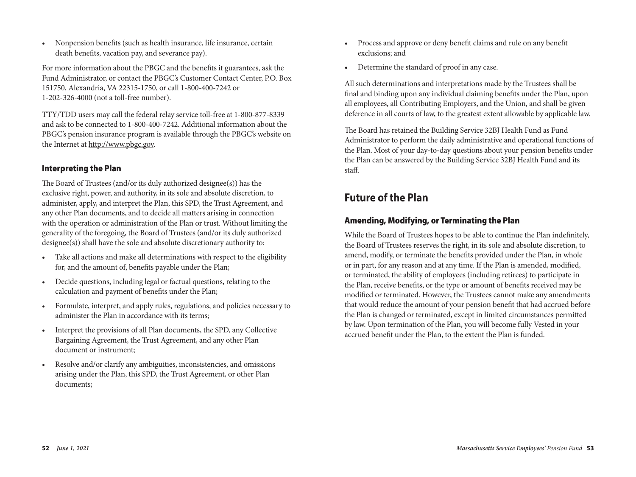• Nonpension benefits (such as health insurance, life insurance, certain death benefits, vacation pay, and severance pay).

For more information about the PBGC and the benefits it guarantees, ask the Fund Administrator, or contact the PBGC's Customer Contact Center, P.O. Box 151750, Alexandria, VA 22315-1750, or call 1-800-400-7242 or 1-202-326-4000 (not a toll-free number).

TTY/TDD users may call the federal relay service toll-free at 1-800-877-8339 and ask to be connected to 1-800-400-7242. Additional information about the PBGC's pension insurance program is available through the PBGC's website on the Internet at http://www.pbgc.gov.

## Interpreting the Plan

The Board of Trustees (and/or its duly authorized designee(s)) has the exclusive right, power, and authority, in its sole and absolute discretion, to administer, apply, and interpret the Plan, this SPD, the Trust Agreement, and any other Plan documents, and to decide all matters arising in connection with the operation or administration of the Plan or trust. Without limiting the generality of the foregoing, the Board of Trustees (and/or its duly authorized designee(s)) shall have the sole and absolute discretionary authority to:

- Take all actions and make all determinations with respect to the eligibility for, and the amount of, benefits payable under the Plan;
- Decide questions, including legal or factual questions, relating to the calculation and payment of benefits under the Plan;
- Formulate, interpret, and apply rules, regulations, and policies necessary to administer the Plan in accordance with its terms;
- Interpret the provisions of all Plan documents, the SPD, any Collective Bargaining Agreement, the Trust Agreement, and any other Plan document or instrument;
- Resolve and/or clarify any ambiguities, inconsistencies, and omissions arising under the Plan, this SPD, the Trust Agreement, or other Plan documents;
- Process and approve or deny benefit claims and rule on any benefit exclusions; and
- Determine the standard of proof in any case.

All such determinations and interpretations made by the Trustees shall be final and binding upon any individual claiming benefits under the Plan, upon all employees, all Contributing Employers, and the Union, and shall be given deference in all courts of law, to the greatest extent allowable by applicable law.

The Board has retained the Building Service 32BJ Health Fund as Fund Administrator to perform the daily administrative and operational functions of the Plan. Most of your day-to-day questions about your pension benefits under the Plan can be answered by the Building Service 32BJ Health Fund and its staff.

## **Future of the Plan**

## Amending, Modifying, or Terminating the Plan

While the Board of Trustees hopes to be able to continue the Plan indefinitely, the Board of Trustees reserves the right, in its sole and absolute discretion, to amend, modify, or terminate the benefits provided under the Plan, in whole or in part, for any reason and at any time. If the Plan is amended, modified, or terminated, the ability of employees (including retirees) to participate in the Plan, receive benefits, or the type or amount of benefits received may be modified or terminated. However, the Trustees cannot make any amendments that would reduce the amount of your pension benefit that had accrued before the Plan is changed or terminated, except in limited circumstances permitted by law. Upon termination of the Plan, you will become fully Vested in your accrued benefit under the Plan, to the extent the Plan is funded.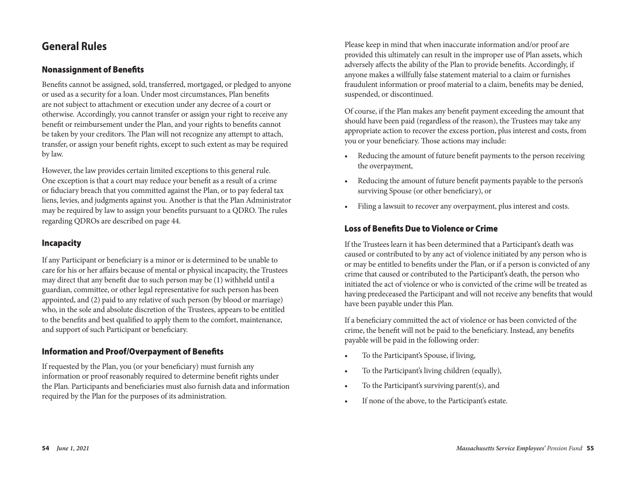## **General Rules**

## Nonassignment of Benefits

Benefits cannot be assigned, sold, transferred, mortgaged, or pledged to anyone or used as a security for a loan. Under most circumstances, Plan benefits are not subject to attachment or execution under any decree of a court or otherwise. Accordingly, you cannot transfer or assign your right to receive any benefit or reimbursement under the Plan, and your rights to benefits cannot be taken by your creditors. The Plan will not recognize any attempt to attach, transfer, or assign your benefit rights, except to such extent as may be required by law.

However, the law provides certain limited exceptions to this general rule. One exception is that a court may reduce your benefit as a result of a crime or fiduciary breach that you committed against the Plan, or to pay federal tax liens, levies, and judgments against you. Another is that the Plan Administrator may be required by law to assign your benefits pursuant to a QDRO. The rules regarding QDROs are described on page 44.

## Incapacity

If any Participant or beneficiary is a minor or is determined to be unable to care for his or her affairs because of mental or physical incapacity, the Trustees may direct that any benefit due to such person may be (1) withheld until a guardian, committee, or other legal representative for such person has been appointed, and (2) paid to any relative of such person (by blood or marriage) who, in the sole and absolute discretion of the Trustees, appears to be entitled to the benefits and best qualified to apply them to the comfort, maintenance, and support of such Participant or beneficiary.

## Information and Proof/Overpayment of Benefits

If requested by the Plan, you (or your beneficiary) must furnish any information or proof reasonably required to determine benefit rights under the Plan. Participants and beneficiaries must also furnish data and information required by the Plan for the purposes of its administration.

Please keep in mind that when inaccurate information and/or proof are provided this ultimately can result in the improper use of Plan assets, which adversely affects the ability of the Plan to provide benefits. Accordingly, if anyone makes a willfully false statement material to a claim or furnishes fraudulent information or proof material to a claim, benefits may be denied, suspended, or discontinued.

Of course, if the Plan makes any benefit payment exceeding the amount that should have been paid (regardless of the reason), the Trustees may take any appropriate action to recover the excess portion, plus interest and costs, from you or your beneficiary. Those actions may include:

- Reducing the amount of future benefit payments to the person receiving the overpayment,
- Reducing the amount of future benefit payments payable to the person's surviving Spouse (or other beneficiary), or
- Filing a lawsuit to recover any overpayment, plus interest and costs.

## Loss of Benefits Due to Violence or Crime

If the Trustees learn it has been determined that a Participant's death was caused or contributed to by any act of violence initiated by any person who is or may be entitled to benefits under the Plan, or if a person is convicted of any crime that caused or contributed to the Participant's death, the person who initiated the act of violence or who is convicted of the crime will be treated as having predeceased the Participant and will not receive any benefits that would have been payable under this Plan.

If a beneficiary committed the act of violence or has been convicted of the crime, the benefit will not be paid to the beneficiary. Instead, any benefits payable will be paid in the following order:

- To the Participant's Spouse, if living,
- To the Participant's living children (equally),
- To the Participant's surviving parent(s), and
- If none of the above, to the Participant's estate.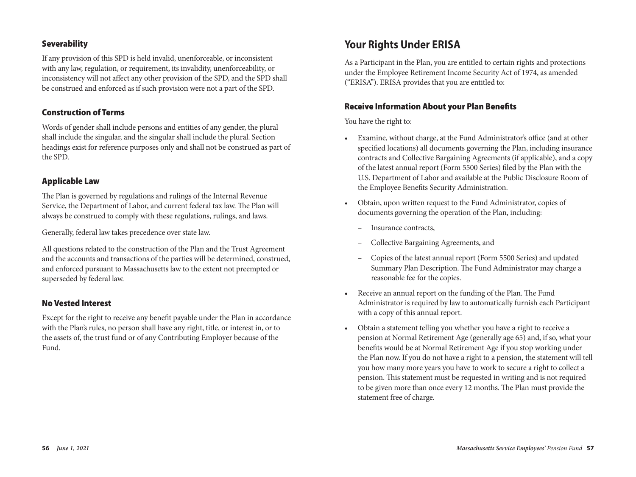## Severability

If any provision of this SPD is held invalid, unenforceable, or inconsistent with any law, regulation, or requirement, its invalidity, unenforceability, or inconsistency will not affect any other provision of the SPD, and the SPD shall be construed and enforced as if such provision were not a part of the SPD.

#### Construction of Terms

Words of gender shall include persons and entities of any gender, the plural shall include the singular, and the singular shall include the plural. Section headings exist for reference purposes only and shall not be construed as part of the SPD.

### Applicable Law

The Plan is governed by regulations and rulings of the Internal Revenue Service, the Department of Labor, and current federal tax law. The Plan will always be construed to comply with these regulations, rulings, and laws.

Generally, federal law takes precedence over state law.

All questions related to the construction of the Plan and the Trust Agreement and the accounts and transactions of the parties will be determined, construed, and enforced pursuant to Massachusetts law to the extent not preempted or superseded by federal law.

#### No Vested Interest

Except for the right to receive any benefit payable under the Plan in accordance with the Plan's rules, no person shall have any right, title, or interest in, or to the assets of, the trust fund or of any Contributing Employer because of the Fund.

## **Your Rights Under ERISA**

As a Participant in the Plan, you are entitled to certain rights and protections under the Employee Retirement Income Security Act of 1974, as amended ("ERISA"). ERISA provides that you are entitled to:

#### Receive Information About your Plan Benefits

You have the right to:

- Examine, without charge, at the Fund Administrator's office (and at other specified locations) all documents governing the Plan, including insurance contracts and Collective Bargaining Agreements (if applicable), and a copy of the latest annual report (Form 5500 Series) filed by the Plan with the U.S. Department of Labor and available at the Public Disclosure Room of the Employee Benefits Security Administration.
- Obtain, upon written request to the Fund Administrator, copies of documents governing the operation of the Plan, including:
	- Insurance contracts,
	- Collective Bargaining Agreements, and
	- Copies of the latest annual report (Form 5500 Series) and updated Summary Plan Description. The Fund Administrator may charge a reasonable fee for the copies.
- Receive an annual report on the funding of the Plan. The Fund Administrator is required by law to automatically furnish each Participant with a copy of this annual report.
- Obtain a statement telling you whether you have a right to receive a pension at Normal Retirement Age (generally age 65) and, if so, what your benefits would be at Normal Retirement Age if you stop working under the Plan now. If you do not have a right to a pension, the statement will tell you how many more years you have to work to secure a right to collect a pension. This statement must be requested in writing and is not required to be given more than once every 12 months. The Plan must provide the statement free of charge.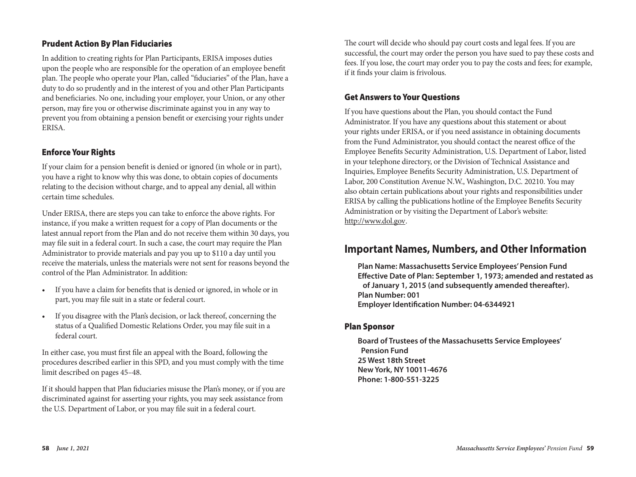## Prudent Action By Plan Fiduciaries

In addition to creating rights for Plan Participants, ERISA imposes duties upon the people who are responsible for the operation of an employee benefit plan. The people who operate your Plan, called "fiduciaries" of the Plan, have a duty to do so prudently and in the interest of you and other Plan Participants and beneficiaries. No one, including your employer, your Union, or any other person, may fire you or otherwise discriminate against you in any way to prevent you from obtaining a pension benefit or exercising your rights under ERISA.

## Enforce Your Rights

If your claim for a pension benefit is denied or ignored (in whole or in part), you have a right to know why this was done, to obtain copies of documents relating to the decision without charge, and to appeal any denial, all within certain time schedules.

Under ERISA, there are steps you can take to enforce the above rights. For instance, if you make a written request for a copy of Plan documents or the latest annual report from the Plan and do not receive them within 30 days, you may file suit in a federal court. In such a case, the court may require the Plan Administrator to provide materials and pay you up to \$110 a day until you receive the materials, unless the materials were not sent for reasons beyond the control of the Plan Administrator. In addition:

- If you have a claim for benefits that is denied or ignored, in whole or in part, you may file suit in a state or federal court.
- If you disagree with the Plan's decision, or lack thereof, concerning the status of a Qualified Domestic Relations Order, you may file suit in a federal court.

In either case, you must first file an appeal with the Board, following the procedures described earlier in this SPD, and you must comply with the time limit described on pages 45–48.

If it should happen that Plan fiduciaries misuse the Plan's money, or if you are discriminated against for asserting your rights, you may seek assistance from the U.S. Department of Labor, or you may file suit in a federal court.

The court will decide who should pay court costs and legal fees. If you are successful, the court may order the person you have sued to pay these costs and fees. If you lose, the court may order you to pay the costs and fees; for example, if it finds your claim is frivolous.

## Get Answers to Your Questions

If you have questions about the Plan, you should contact the Fund Administrator. If you have any questions about this statement or about your rights under ERISA, or if you need assistance in obtaining documents from the Fund Administrator, you should contact the nearest office of the Employee Benefits Security Administration, U.S. Department of Labor, listed in your telephone directory, or the Division of Technical Assistance and Inquiries, Employee Benefits Security Administration, U.S. Department of Labor, 200 Constitution Avenue N.W., Washington, D.C. 20210. You may also obtain certain publications about your rights and responsibilities under ERISA by calling the publications hotline of the Employee Benefits Security Administration or by visiting the Department of Labor's website: http://www.dol.gov.

## **Important Names, Numbers, and Other Information**

**Plan Name: Massachusetts Service Employees' Pension Fund Effective Date of Plan: September 1, 1973; amended and restated as of January 1, 2015 (and subsequently amended thereafter). Plan Number: 001 Employer Identification Number: 04-6344921** 

## Plan Sponsor

**Board of Trustees of the Massachusetts Service Employees' Pension Fund 25 West 18th Street New York, NY 10011-4676 Phone: 1-800-551-3225**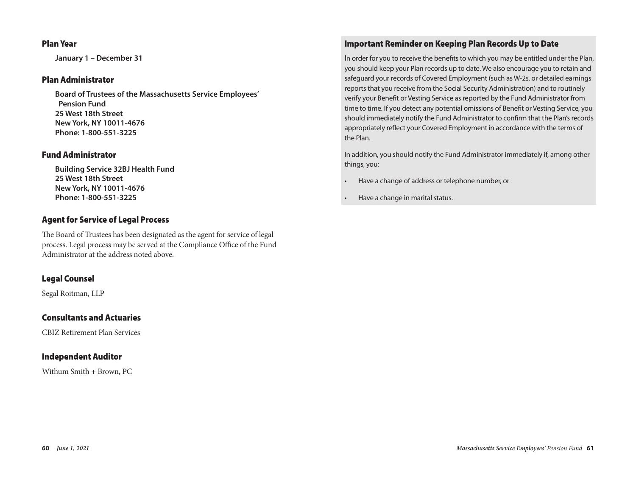## Plan Year

**January 1 – December 31**

#### Plan Administrator

**Board of Trustees of the Massachusetts Service Employees' Pension Fund 25 West 18th Street New York, NY 10011-4676 Phone: 1-800-551-3225**

## Fund Administrator

**Building Service 32BJ Health Fund 25 West 18th Street New York, NY 10011-4676 Phone: 1-800-551-3225**

## Agent for Service of Legal Process

The Board of Trustees has been designated as the agent for service of legal process. Legal process may be served at the Compliance Office of the Fund Administrator at the address noted above.

## Legal Counsel

Segal Roitman, LLP

## Consultants and Actuaries

CBIZ Retirement Plan Services

## Independent Auditor

Withum Smith + Brown, PC

## Important Reminder on Keeping Plan Records Up to Date

In order for you to receive the benefits to which you may be entitled under the Plan, you should keep your Plan records up to date. We also encourage you to retain and safeguard your records of Covered Employment (such as W-2s, or detailed earnings reports that you receive from the Social Security Administration) and to routinely verify your Benefit or Vesting Service as reported by the Fund Administrator from time to time. If you detect any potential omissions of Benefit or Vesting Service, you should immediately notify the Fund Administrator to confirm that the Plan's records appropriately reflect your Covered Employment in accordance with the terms of the Plan.

In addition, you should notify the Fund Administrator immediately if, among other things, you:

- Have a change of address or telephone number, or
- Have a change in marital status.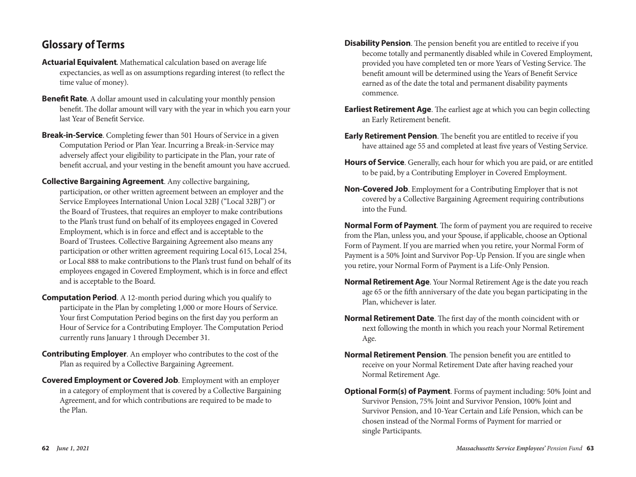# **Glossary of Terms**

- **Actuarial Equivalent.** Mathematical calculation based on average life expectancies, as well as on assumptions regarding interest (to reflect the time value of money).
- **Benefit Rate.** A dollar amount used in calculating your monthly pension benefit. The dollar amount will vary with the year in which you earn your last Year of Benefit Service.
- **Break-in-Service**. Completing fewer than 501 Hours of Service in a given Computation Period or Plan Year. Incurring a Break-in-Service may adversely affect your eligibility to participate in the Plan, your rate of benefit accrual, and your vesting in the benefit amount you have accrued.
- **Collective Bargaining Agreement**. Any collective bargaining, participation, or other written agreement between an employer and the Service Employees International Union Local 32BJ ("Local 32BJ") or the Board of Trustees, that requires an employer to make contributions to the Plan's trust fund on behalf of its employees engaged in Covered Employment, which is in force and effect and is acceptable to the Board of Trustees. Collective Bargaining Agreement also means any participation or other written agreement requiring Local 615, Local 254, or Local 888 to make contributions to the Plan's trust fund on behalf of its employees engaged in Covered Employment, which is in force and effect and is acceptable to the Board.
- **Computation Period.** A 12-month period during which you qualify to participate in the Plan by completing 1,000 or more Hours of Service. Your first Computation Period begins on the first day you perform an Hour of Service for a Contributing Employer. The Computation Period currently runs January 1 through December 31.
- **Contributing Employer**. An employer who contributes to the cost of the Plan as required by a Collective Bargaining Agreement.
- **Covered Employment or Covered Job**. Employment with an employer in a category of employment that is covered by a Collective Bargaining Agreement, and for which contributions are required to be made to the Plan.
- **Disability Pension**. The pension benefit you are entitled to receive if you become totally and permanently disabled while in Covered Employment, provided you have completed ten or more Years of Vesting Service. The benefit amount will be determined using the Years of Benefit Service earned as of the date the total and permanent disability payments commence.
- **Earliest Retirement Age**. The earliest age at which you can begin collecting an Early Retirement benefit.
- **Early Retirement Pension**. The benefit you are entitled to receive if you have attained age 55 and completed at least five years of Vesting Service.
- **Hours of Service**. Generally, each hour for which you are paid, or are entitled to be paid, by a Contributing Employer in Covered Employment.
- **Non-Covered Job**. Employment for a Contributing Employer that is not covered by a Collective Bargaining Agreement requiring contributions into the Fund.

**Normal Form of Payment**. The form of payment you are required to receive from the Plan, unless you, and your Spouse, if applicable, choose an Optional Form of Payment. If you are married when you retire, your Normal Form of Payment is a 50% Joint and Survivor Pop-Up Pension. If you are single when you retire, your Normal Form of Payment is a Life-Only Pension.

- **Normal Retirement Age**. Your Normal Retirement Age is the date you reach age 65 or the fifth anniversary of the date you began participating in the Plan, whichever is later.
- **Normal Retirement Date**. The first day of the month coincident with or next following the month in which you reach your Normal Retirement Age.
- **Normal Retirement Pension**. The pension benefit you are entitled to receive on your Normal Retirement Date after having reached your Normal Retirement Age.
- **Optional Form(s) of Payment**. Forms of payment including: 50% Joint and Survivor Pension, 75% Joint and Survivor Pension, 100% Joint and Survivor Pension, and 10-Year Certain and Life Pension, which can be chosen instead of the Normal Forms of Payment for married or single Participants.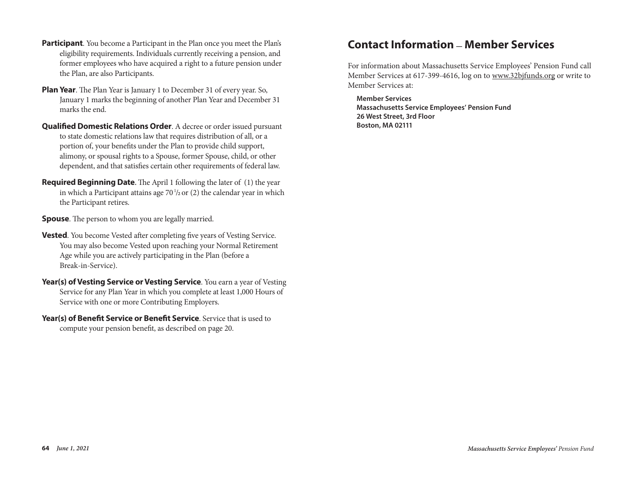- **Participant**. You become a Participant in the Plan once you meet the Plan's eligibility requirements. Individuals currently receiving a pension, and former employees who have acquired a right to a future pension under the Plan, are also Participants.
- **Plan Year**. The Plan Year is January 1 to December 31 of every year. So, January 1 marks the beginning of another Plan Year and December 31 marks the end.  $\mathcal{L}$  Service  $\mathcal{L}$
- **Qualified Domestic Relations Order**. A decree or order issued pursuant to state domestic relations law that requires distribution of all, or a portion of, your benefits under the Plan to provide child support, alimony, or spousal rights to a Spouse, former Spouse, child, or other dependent, and that satisfies certain other requirements of federal law. **The office distribution of the State of State and State and State Friday.** You may also visit dependent, and that satisfies certain other requirements of federal fa
- **Required Beginning Date**. The April 1 following the later of (1) the year in which a Participant attains age  $70\frac{1}{2}$  or (2) the calendar year in which the Participant retires.  $\bf{P}$ - $\bf{P}$   $\bf{P}$  arected beginning bate. The  $\bf{P}$

**Spouse**. The person to whom you are legally married.  $\mathbf{F}$  a.m. a  $\mathbf{F}$  and  $\mathbf{F}$  are  $\mathbf{F}$  becomes a visi-out  $\mathbf{F}$  becomes a visi-out  $\mathbf{F}$ 

- Vested. You become Vested after completing five years of Vesting Service. You may also become Vested upon reaching your Normal Retirement Age while you are actively participating in the Plan (before a Break-in-Service).
- Year(s) of Vesting Service or Vesting Service. You earn a year of Vesting Service for any Plan Year in which you complete at least 1,000 Hours of Service for any Tian Tear in When you complete at more Contributing E
- Year(s) of Benefit Service or Benefit Service. Service that is used to compute your pension benefit, as described on page 20. **Tear(S) of behefit Service or behefit Service**. Service that is use

## **Contact Information \_ Member Services**

For information about Massachusetts Service Employees' Pension Fund call Member Services at 617-399-4616, log on to www.32bjfunds.org or write to Member Services at:

**Member Services Massachusetts Service Employees' Pension Fund 26 West Street, 3rd Floor Boston, MA 02111**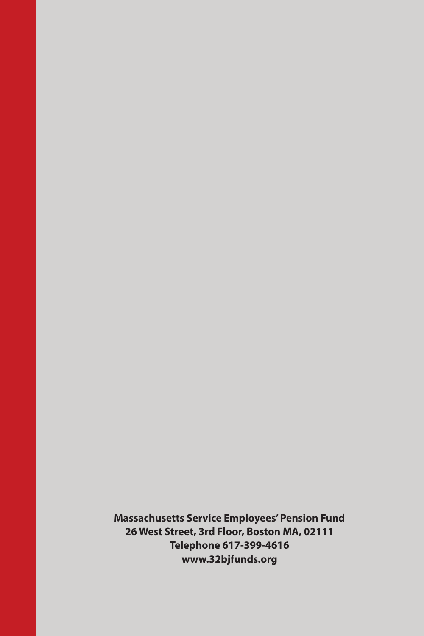**Massachusetts Service Employees' Pension Fund 26 West Street, 3rd Floor, Boston MA, 02111 Telephone 617-399-4616 www.32bjfunds.org**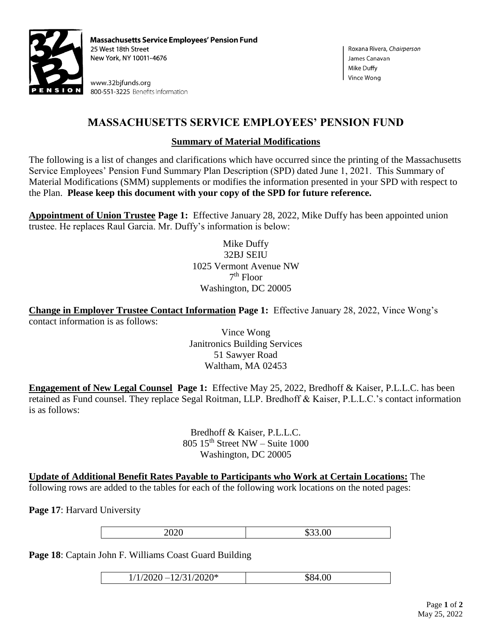

**Massachusetts Service Employees' Pension Fund** 25 West 18th Street New York, NY 10011-4676

www.32bjfunds.org 800-551-3225 Benefits Information

## **MASSACHUSETTS SERVICE EMPLOYEES' PENSION FUND**

## **Summary of Material Modifications**

The following is a list of changes and clarifications which have occurred since the printing of the Massachusetts Service Employees' Pension Fund Summary Plan Description (SPD) dated June 1, 2021. This Summary of Material Modifications (SMM) supplements or modifies the information presented in your SPD with respect to the Plan. **Please keep this document with your copy of the SPD for future reference.**

**Appointment of Union Trustee Page 1:** Effective January 28, 2022, Mike Duffy has been appointed union trustee. He replaces Raul Garcia. Mr. Duffy's information is below:

> Mike Duffy 32BJ SEIU 1025 Vermont Avenue NW 7 th Floor Washington, DC 20005

**Change in Employer Trustee Contact Information Page 1:** Effective January 28, 2022, Vince Wong's contact information is as follows:

> Vince Wong Janitronics Building Services 51 Sawyer Road Waltham, MA 02453

**Engagement of New Legal Counsel Page 1:** Effective May 25, 2022, Bredhoff & Kaiser, P.L.L.C. has been retained as Fund counsel. They replace Segal Roitman, LLP. Bredhoff & Kaiser, P.L.L.C.'s contact information is as follows:

> Bredhoff & Kaiser, P.L.L.C.  $805$  15<sup>th</sup> Street NW – Suite 1000 Washington, DC 20005

**Update of Additional Benefit Rates Payable to Participants who Work at Certain Locations:** The following rows are added to the tables for each of the following work locations on the noted pages:

**Page 17**: Harvard University

2020 \$33.00

**Page 18**: Captain John F. Williams Coast Guard Building

 $1/1/2020 - 12/31/2020^*$  \$84.00